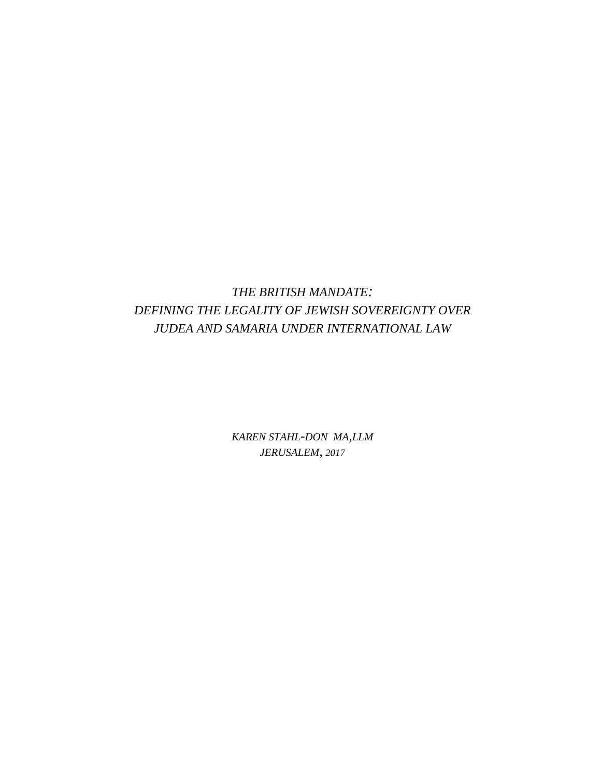# *THE BRITISH MANDATE: DEFINING THE LEGALITY OF JEWISH SOVEREIGNTY OVER JUDEA AND SAMARIA UNDER INTERNATIONAL LAW*

*KAREN STAHL-DON MA,LLM JERUSALEM, 2017*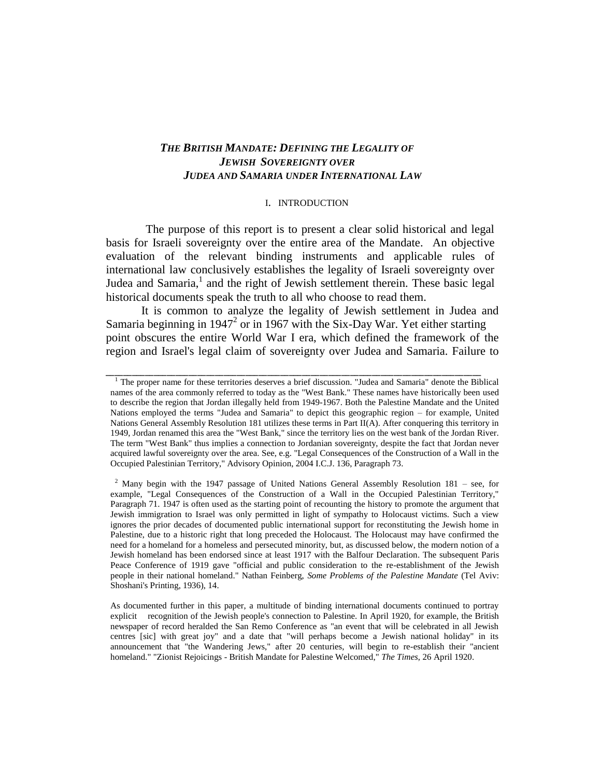## *THE BRITISH MANDATE: DEFINING THE LEGALITY OF JEWISH SOVEREIGNTY OVER JUDEA AND SAMARIA UNDER INTERNATIONAL LAW*

#### I. INTRODUCTION

The purpose of this report is to present a clear solid historical and legal basis for Israeli sovereignty over the entire area of the Mandate. An objective evaluation of the relevant binding instruments and applicable rules of international law conclusively establishes the legality of Israeli sovereignty over Judea and Samaria,<sup>1</sup> and the right of Jewish settlement therein. These basic legal historical documents speak the truth to all who choose to read them.

It is common to analyze the legality of Jewish settlement in Judea and Samaria beginning in 1947<sup>2</sup> or in 1967 with the Six-Day War. Yet either starting point obscures the entire World War I era, which defined the framework of the region and Israel's legal claim of sovereignty over Judea and Samaria. Failure to

<sup>&</sup>lt;sup>1</sup> The proper name for these territories deserves a brief discussion. "Judea and Samaria" denote the Biblical names of the area commonly referred to today as the "West Bank." These names have historically been used to describe the region that Jordan illegally held from 1949-1967. Both the Palestine Mandate and the United Nations employed the terms "Judea and Samaria" to depict this geographic region – for example, United Nations General Assembly Resolution 181 utilizes these terms in Part II(A). After conquering this territory in 1949, Jordan renamed this area the "West Bank," since the territory lies on the west bank of the Jordan River. The term "West Bank" thus implies a connection to Jordanian sovereignty, despite the fact that Jordan never acquired lawful sovereignty over the area. See, e.g. "Legal Consequences of the Construction of a Wall in the Occupied Palestinian Territory," Advisory Opinion, 2004 I.C.J. 136, Paragraph 73.

 $2$  Many begin with the 1947 passage of United Nations General Assembly Resolution 181 – see, for example, "Legal Consequences of the Construction of a Wall in the Occupied Palestinian Territory," Paragraph 71. 1947 is often used as the starting point of recounting the history to promote the argument that Jewish immigration to Israel was only permitted in light of sympathy to Holocaust victims. Such a view ignores the prior decades of documented public international support for reconstituting the Jewish home in Palestine, due to a historic right that long preceded the Holocaust. The Holocaust may have confirmed the need for a homeland for a homeless and persecuted minority, but, as discussed below, the modern notion of a Jewish homeland has been endorsed since at least 1917 with the Balfour Declaration. The subsequent Paris Peace Conference of 1919 gave "official and public consideration to the re-establishment of the Jewish people in their national homeland." Nathan Feinberg, *Some Problems of the Palestine Mandate* (Tel Aviv: Shoshani's Printing, 1936), 14.

As documented further in this paper, a multitude of binding international documents continued to portray explicit recognition of the Jewish people's connection to Palestine. In April 1920, for example, the British newspaper of record heralded the San Remo Conference as "an event that will be celebrated in all Jewish centres [sic] with great joy" and a date that "will perhaps become a Jewish national holiday" in its announcement that "the Wandering Jews," after 20 centuries, will begin to re-establish their "ancient homeland." "Zionist Rejoicings - British Mandate for Palestine Welcomed," *The Times*, 26 April 1920.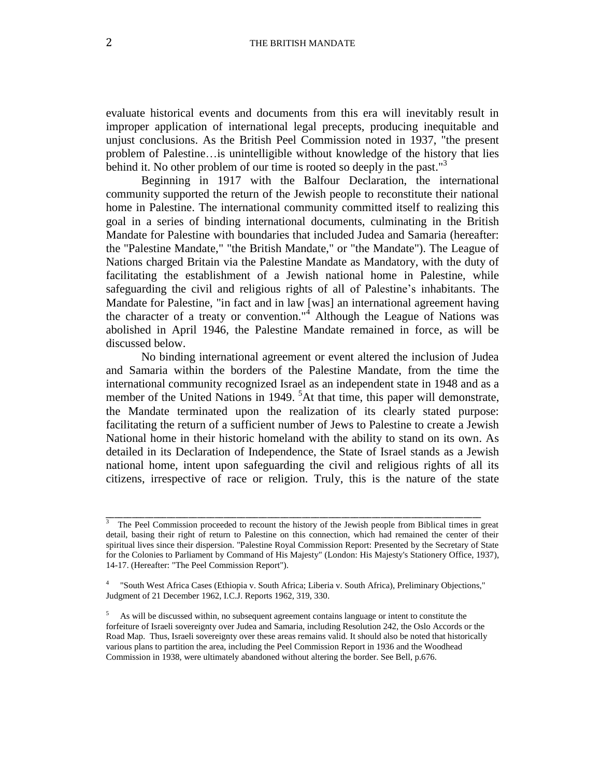evaluate historical events and documents from this era will inevitably result in improper application of international legal precepts, producing inequitable and unjust conclusions. As the British Peel Commission noted in 1937, "the present problem of Palestine…is unintelligible without knowledge of the history that lies behind it. No other problem of our time is rooted so deeply in the past."<sup>3</sup>

Beginning in 1917 with the Balfour Declaration, the international community supported the return of the Jewish people to reconstitute their national home in Palestine. The international community committed itself to realizing this goal in a series of binding international documents, culminating in the British Mandate for Palestine with boundaries that included Judea and Samaria (hereafter: the "Palestine Mandate," "the British Mandate," or "the Mandate"). The League of Nations charged Britain via the Palestine Mandate as Mandatory, with the duty of facilitating the establishment of a Jewish national home in Palestine, while safeguarding the civil and religious rights of all of Palestine's inhabitants. The Mandate for Palestine, "in fact and in law [was] an international agreement having the character of a treaty or convention." $\frac{1}{4}$  Although the League of Nations was abolished in April 1946, the Palestine Mandate remained in force, as will be discussed below.

No binding international agreement or event altered the inclusion of Judea and Samaria within the borders of the Palestine Mandate, from the time the international community recognized Israel as an independent state in 1948 and as a member of the United Nations in 1949.  ${}^{5}$ At that time, this paper will demonstrate, the Mandate terminated upon the realization of its clearly stated purpose: facilitating the return of a sufficient number of Jews to Palestine to create a Jewish National home in their historic homeland with the ability to stand on its own. As detailed in its Declaration of Independence, the State of Israel stands as a Jewish national home, intent upon safeguarding the civil and religious rights of all its citizens, irrespective of race or religion. Truly, this is the nature of the state

<sup>3</sup> The Peel Commission proceeded to recount the history of the Jewish people from Biblical times in great detail, basing their right of return to Palestine on this connection, which had remained the center of their spiritual lives since their dispersion. "Palestine Royal Commission Report: Presented by the Secretary of State for the Colonies to Parliament by Command of His Majesty" (London: His Majesty's Stationery Office, 1937), 14-17. (Hereafter: "The Peel Commission Report").

<sup>4</sup> "South West Africa Cases (Ethiopia v. South Africa; Liberia v. South Africa), Preliminary Objections," Judgment of 21 December 1962, I.C.J. Reports 1962, 319, 330.

<sup>5</sup> As will be discussed within, no subsequent agreement contains language or intent to constitute the forfeiture of Israeli sovereignty over Judea and Samaria, including Resolution 242, the Oslo Accords or the Road Map. Thus, Israeli sovereignty over these areas remains valid. It should also be noted that historically various plans to partition the area, including the Peel Commission Report in 1936 and the Woodhead Commission in 1938, were ultimately abandoned without altering the border. See Bell, p.676.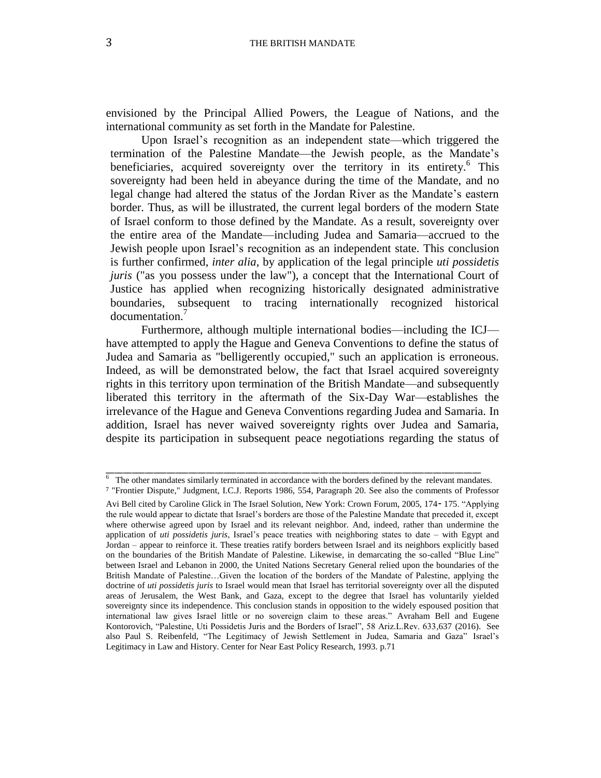envisioned by the Principal Allied Powers, the League of Nations, and the international community as set forth in the Mandate for Palestine.

Upon Israel's recognition as an independent state—which triggered the termination of the Palestine Mandate—the Jewish people, as the Mandate's beneficiaries, acquired sovereignty over the territory in its entirety.<sup>6</sup> This sovereignty had been held in abeyance during the time of the Mandate, and no legal change had altered the status of the Jordan River as the Mandate's eastern border. Thus, as will be illustrated, the current legal borders of the modern State of Israel conform to those defined by the Mandate. As a result, sovereignty over the entire area of the Mandate—including Judea and Samaria—accrued to the Jewish people upon Israel's recognition as an independent state. This conclusion is further confirmed, *inter alia*, by application of the legal principle *uti possidetis juris* ("as you possess under the law"), a concept that the International Court of Justice has applied when recognizing historically designated administrative boundaries, subsequent to tracing internationally recognized historical documentation.<sup>7</sup>

Furthermore, although multiple international bodies—including the ICJ have attempted to apply the Hague and Geneva Conventions to define the status of Judea and Samaria as "belligerently occupied," such an application is erroneous. Indeed, as will be demonstrated below, the fact that Israel acquired sovereignty rights in this territory upon termination of the British Mandate—and subsequently liberated this territory in the aftermath of the Six-Day War—establishes the irrelevance of the Hague and Geneva Conventions regarding Judea and Samaria. In addition, Israel has never waived sovereignty rights over Judea and Samaria, despite its participation in subsequent peace negotiations regarding the status of

\_\_\_\_\_\_\_\_\_\_\_\_\_\_\_\_\_\_\_\_\_\_\_\_\_\_\_\_\_\_\_\_\_\_\_\_\_\_\_\_\_\_\_\_\_\_\_\_\_\_\_\_\_\_\_\_\_\_\_\_\_\_\_\_\_\_\_\_\_\_\_\_\_\_\_\_\_\_\_\_\_\_\_\_\_\_  $6\text{ The other mandates similarly terminated in accordance with the borders defined by the relevant mandates.}$ 

<sup>7</sup> "Frontier Dispute," Judgment, I.C.J. Reports 1986, 554, Paragraph 20. See also the comments of Professor Avi Bell cited by Caroline Glick in The Israel Solution, New York: Crown Forum, 2005, 174- 175. "Applying the rule would appear to dictate that Israel's borders are those of the Palestine Mandate that preceded it, except where otherwise agreed upon by Israel and its relevant neighbor. And, indeed, rather than undermine the application of *uti possidetis juris*, Israel's peace treaties with neighboring states to date – with Egypt and Jordan – appear to reinforce it. These treaties ratify borders between Israel and its neighbors explicitly based on the boundaries of the British Mandate of Palestine. Likewise, in demarcating the so-called "Blue Line" between Israel and Lebanon in 2000, the United Nations Secretary General relied upon the boundaries of the British Mandate of Palestine…Given the location of the borders of the Mandate of Palestine, applying the doctrine of *uti possidetis juris* to Israel would mean that Israel has territorial sovereignty over all the disputed areas of Jerusalem, the West Bank, and Gaza, except to the degree that Israel has voluntarily yielded sovereignty since its independence. This conclusion stands in opposition to the widely espoused position that international law gives Israel little or no sovereign claim to these areas." Avraham Bell and Eugene Kontorovich, "Palestine, Uti Possidetis Juris and the Borders of Israel", 58 Ariz.L.Rev. 633,637 (2016). See also Paul S. Reibenfeld, "The Legitimacy of Jewish Settlement in Judea, Samaria and Gaza" Israel's Legitimacy in Law and History. Center for Near East Policy Research, 1993. p.71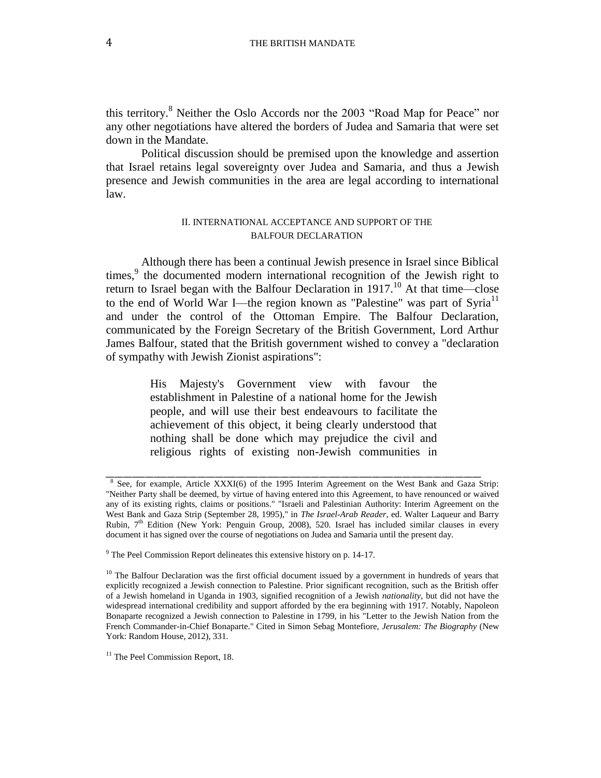this territory.<sup>8</sup> Neither the Oslo Accords nor the 2003 "Road Map for Peace" nor any other negotiations have altered the borders of Judea and Samaria that were set down in the Mandate.

Political discussion should be premised upon the knowledge and assertion that Israel retains legal sovereignty over Judea and Samaria, and thus a Jewish presence and Jewish communities in the area are legal according to international law.

#### II. INTERNATIONAL ACCEPTANCE AND SUPPORT OF THE BALFOUR DECLARATION

Although there has been a continual Jewish presence in Israel since Biblical times, $9$  the documented modern international recognition of the Jewish right to return to Israel began with the Balfour Declaration in 1917.<sup>10</sup> At that time—close to the end of World War I—the region known as "Palestine" was part of Syria<sup>11</sup> and under the control of the Ottoman Empire. The Balfour Declaration, communicated by the Foreign Secretary of the British Government, Lord Arthur James Balfour, stated that the British government wished to convey a "declaration of sympathy with Jewish Zionist aspirations":

> His Majesty's Government view with favour the establishment in Palestine of a national home for the Jewish people, and will use their best endeavours to facilitate the achievement of this object, it being clearly understood that nothing shall be done which may prejudice the civil and religious rights of existing non-Jewish communities in

<sup>8</sup> See, for example, Article XXXI(6) of the 1995 Interim Agreement on the West Bank and Gaza Strip: "Neither Party shall be deemed, by virtue of having entered into this Agreement, to have renounced or waived any of its existing rights, claims or positions." "Israeli and Palestinian Authority: Interim Agreement on the West Bank and Gaza Strip (September 28, 1995)," in *The Israel-Arab Reader*, ed. Walter Laqueur and Barry Rubin, 7<sup>th</sup> Edition (New York: Penguin Group, 2008), 520. Israel has included similar clauses in every document it has signed over the course of negotiations on Judea and Samaria until the present day.

<sup>&</sup>lt;sup>9</sup> The Peel Commission Report delineates this extensive history on p. 14-17.

<sup>&</sup>lt;sup>10</sup> The Balfour Declaration was the first official document issued by a government in hundreds of years that explicitly recognized a Jewish connection to Palestine. Prior significant recognition, such as the British offer of a Jewish homeland in Uganda in 1903, signified recognition of a Jewish *nationality*, but did not have the widespread international credibility and support afforded by the era beginning with 1917. Notably, Napoleon Bonaparte recognized a Jewish connection to Palestine in 1799, in his "Letter to the Jewish Nation from the French Commander-in-Chief Bonaparte." Cited in Simon Sebag Montefiore, *Jerusalem: The Biography* (New York: Random House, 2012), 331.

<sup>&</sup>lt;sup>11</sup> The Peel Commission Report, 18.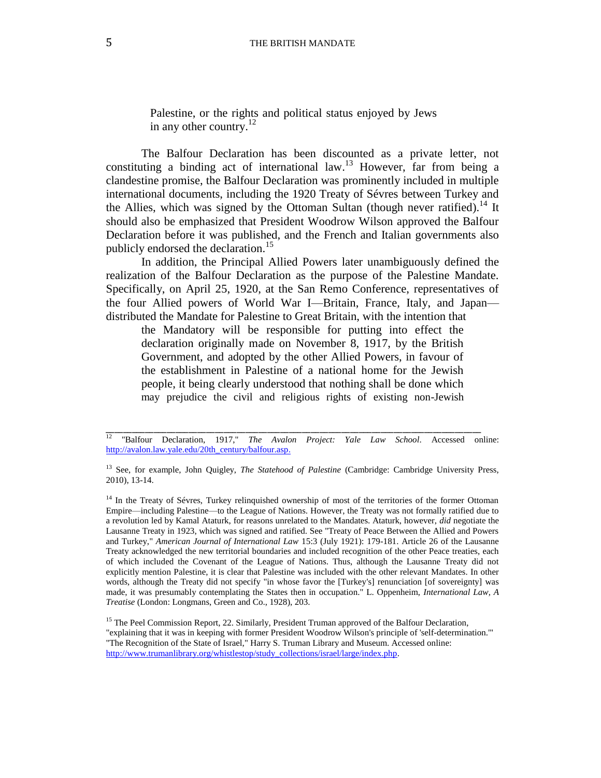Palestine, or the rights and political status enjoyed by Jews in any other country. $^{12}$ 

The Balfour Declaration has been discounted as a private letter, not constituting a binding act of international law. <sup>13</sup> However, far from being a clandestine promise, the Balfour Declaration was prominently included in multiple international documents, including the 1920 Treaty of Sévres between Turkey and the Allies, which was signed by the Ottoman Sultan (though never ratified).<sup>14</sup> It should also be emphasized that President Woodrow Wilson approved the Balfour Declaration before it was published, and the French and Italian governments also publicly endorsed the declaration.<sup>15</sup>

In addition, the Principal Allied Powers later unambiguously defined the realization of the Balfour Declaration as the purpose of the Palestine Mandate. Specifically, on April 25, 1920, at the San Remo Conference, representatives of the four Allied powers of World War I—Britain, France, Italy, and Japan distributed the Mandate for Palestine to Great Britain, with the intention that

the Mandatory will be responsible for putting into effect the declaration originally made on November 8, 1917, by the British Government, and adopted by the other Allied Powers, in favour of the establishment in Palestine of a national home for the Jewish people, it being clearly understood that nothing shall be done which may prejudice the civil and religious rights of existing non-Jewish

<sup>&</sup>lt;sup>12</sup> "Balfour Declaration, 1917," *The Avalon Project: Yale Law School*. Accessed online: [http://avalon.law.yale.edu/20th\\_century/balfour.asp.](http://avalon.law.yale.edu/20th_century/balfour.asp)

<sup>&</sup>lt;sup>13</sup> See, for example, John Quigley, *The Statehood of Palestine* (Cambridge: Cambridge University Press, 2010), 13-14.

<sup>&</sup>lt;sup>14</sup> In the Treaty of Sévres, Turkey relinquished ownership of most of the territories of the former Ottoman Empire—including Palestine—to the League of Nations. However, the Treaty was not formally ratified due to a revolution led by Kamal Ataturk, for reasons unrelated to the Mandates. Ataturk, however, *did* negotiate the Lausanne Treaty in 1923, which was signed and ratified. See "Treaty of Peace Between the Allied and Powers and Turkey," *American Journal of International Law* 15:3 (July 1921): 179-181. Article 26 of the Lausanne Treaty acknowledged the new territorial boundaries and included recognition of the other Peace treaties, each of which included the Covenant of the League of Nations. Thus, although the Lausanne Treaty did not explicitly mention Palestine, it is clear that Palestine was included with the other relevant Mandates. In other words, although the Treaty did not specify "in whose favor the [Turkey's] renunciation [of sovereignty] was made, it was presumably contemplating the States then in occupation." L. Oppenheim, *International Law, A Treatise* (London: Longmans, Green and Co., 1928), 203.

<sup>&</sup>lt;sup>15</sup> The Peel Commission Report, 22. Similarly, President Truman approved of the Balfour Declaration, "explaining that it was in keeping with former President Woodrow Wilson's principle of 'self-determination.'" "The Recognition of the State of Israel," Harry S. Truman Library and Museum. Accessed online: [http://www.trumanlibrary.org/whistlestop/study\\_collections/israel/large/index.php.](http://www.trumanlibrary.org/whistlestop/study_collections/israel/large/index.php)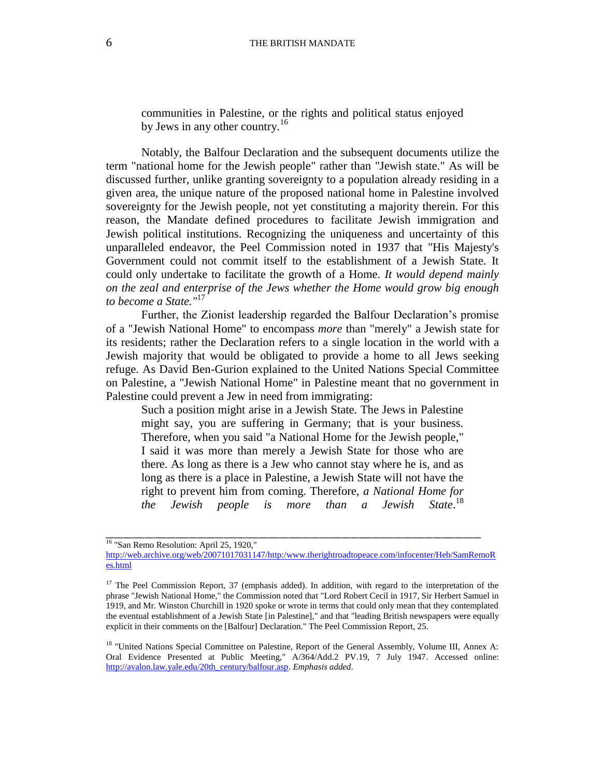communities in Palestine, or the rights and political status enjoyed by Jews in any other country.<sup>16</sup>

Notably, the Balfour Declaration and the subsequent documents utilize the term "national home for the Jewish people" rather than "Jewish state." As will be discussed further, unlike granting sovereignty to a population already residing in a given area, the unique nature of the proposed national home in Palestine involved sovereignty for the Jewish people, not yet constituting a majority therein. For this reason, the Mandate defined procedures to facilitate Jewish immigration and Jewish political institutions. Recognizing the uniqueness and uncertainty of this unparalleled endeavor, the Peel Commission noted in 1937 that "His Majesty's Government could not commit itself to the establishment of a Jewish State. It could only undertake to facilitate the growth of a Home. *It would depend mainly on the zeal and enterprise of the Jews whether the Home would grow big enough to become a State."* 17

Further, the Zionist leadership regarded the Balfour Declaration's promise of a "Jewish National Home" to encompass *more* than "merely" a Jewish state for its residents; rather the Declaration refers to a single location in the world with a Jewish majority that would be obligated to provide a home to all Jews seeking refuge. As David Ben-Gurion explained to the United Nations Special Committee on Palestine, a "Jewish National Home" in Palestine meant that no government in Palestine could prevent a Jew in need from immigrating:

Such a position might arise in a Jewish State. The Jews in Palestine might say, you are suffering in Germany; that is your business. Therefore, when you said "a National Home for the Jewish people," I said it was more than merely a Jewish State for those who are there. As long as there is a Jew who cannot stay where he is, and as long as there is a place in Palestine, a Jewish State will not have the right to prevent him from coming. Therefore, *a National Home for the Jewish people is more than a Jewish* State. $^{18}$ 

<sup>&</sup>lt;sup>16</sup> "San Remo Resolution: April 25, 1920,"

[http://web.archive.org/web/20071017031147/http:/www.therightroadtopeace.com/infocenter/Heb/SamRemoR](http://web.archive.org/web/20071017031147/http:/www.therightroadtopeace.com/infocenter/Heb/SamRemoRes.html) [es.html](http://web.archive.org/web/20071017031147/http:/www.therightroadtopeace.com/infocenter/Heb/SamRemoRes.html)

<sup>&</sup>lt;sup>17</sup> The Peel Commission Report, 37 (emphasis added). In addition, with regard to the interpretation of the phrase "Jewish National Home," the Commission noted that "Lord Robert Cecil in 1917, Sir Herbert Samuel in 1919, and Mr. Winston Churchill in 1920 spoke or wrote in terms that could only mean that they contemplated the eventual establishment of a Jewish State [in Palestine]," and that "leading British newspapers were equally explicit in their comments on the [Balfour] Declaration." The Peel Commission Report, 25.

<sup>&</sup>lt;sup>18</sup> "United Nations Special Committee on Palestine, Report of the General Assembly, Volume III, Annex A: Oral Evidence Presented at Public Meeting," A/364/Add.2 PV.19, 7 July 1947. Accessed online: [http://avalon.law.yale.edu/20th\\_century/balfour.asp.](http://avalon.law.yale.edu/20th_century/balfour.asp) *Emphasis added*.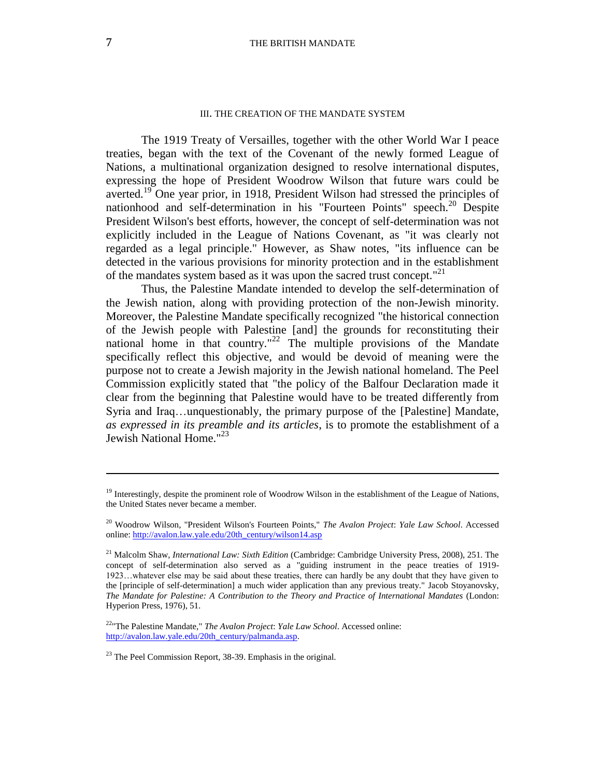#### III. THE CREATION OF THE MANDATE SYSTEM

The 1919 Treaty of Versailles, together with the other World War I peace treaties, began with the text of the Covenant of the newly formed League of Nations, a multinational organization designed to resolve international disputes, expressing the hope of President Woodrow Wilson that future wars could be averted.<sup>19</sup> One year prior, in 1918, President Wilson had stressed the principles of nationhood and self-determination in his "Fourteen Points" speech.<sup>20</sup> Despite President Wilson's best efforts, however, the concept of self-determination was not explicitly included in the League of Nations Covenant, as "it was clearly not regarded as a legal principle." However, as Shaw notes, "its influence can be detected in the various provisions for minority protection and in the establishment of the mandates system based as it was upon the sacred trust concept."<sup>21</sup>

Thus, the Palestine Mandate intended to develop the self-determination of the Jewish nation, along with providing protection of the non-Jewish minority. Moreover, the Palestine Mandate specifically recognized "the historical connection of the Jewish people with Palestine [and] the grounds for reconstituting their national home in that country."<sup>22</sup> The multiple provisions of the Mandate specifically reflect this objective, and would be devoid of meaning were the purpose not to create a Jewish majority in the Jewish national homeland. The Peel Commission explicitly stated that "the policy of the Balfour Declaration made it clear from the beginning that Palestine would have to be treated differently from Syria and Iraq…unquestionably, the primary purpose of the [Palestine] Mandate, *as expressed in its preamble and its articles*, is to promote the establishment of a Jewish National Home."<sup>23</sup>

 $\overline{a}$ 

<sup>&</sup>lt;sup>19</sup> Interestingly, despite the prominent role of Woodrow Wilson in the establishment of the League of Nations, the United States never became a member.

<sup>20</sup> Woodrow Wilson, "President Wilson's Fourteen Points," *The Avalon Project*: *Yale Law School*. Accessed online[: http://avalon.law.yale.edu/20th\\_century/wilson14.asp](http://avalon.law.yale.edu/20th_century/wilson14.asp)

<sup>&</sup>lt;sup>21</sup> Malcolm Shaw, *International Law: Sixth Edition* (Cambridge: Cambridge University Press, 2008), 251. The concept of self-determination also served as a "guiding instrument in the peace treaties of 1919- 1923…whatever else may be said about these treaties, there can hardly be any doubt that they have given to the [principle of self-determination] a much wider application than any previous treaty." Jacob Stoyanovsky, *The Mandate for Palestine: A Contribution to the Theory and Practice of International Mandates* (London: Hyperion Press, 1976), 51.

<sup>22</sup>"The Palestine Mandate," *The Avalon Project*: *Yale Law School*. Accessed online: [http://avalon.law.yale.edu/20th\\_century/palmanda.asp.](http://avalon.law.yale.edu/20th_century/palmanda.asp)

 $23$  The Peel Commission Report, 38-39. Emphasis in the original.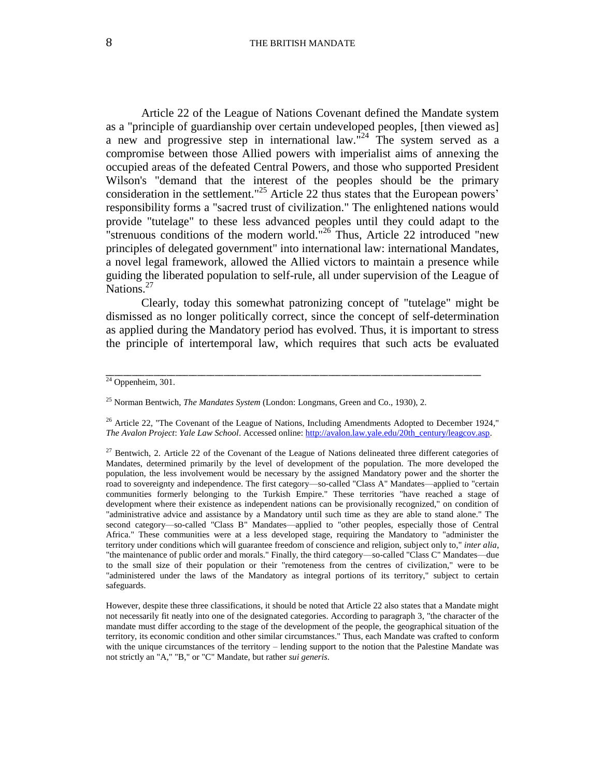Article 22 of the League of Nations Covenant defined the Mandate system as a "principle of guardianship over certain undeveloped peoples, [then viewed as] a new and progressive step in international law.<sup> $n^2$ 4</sup> The system served as a compromise between those Allied powers with imperialist aims of annexing the occupied areas of the defeated Central Powers, and those who supported President Wilson's "demand that the interest of the peoples should be the primary consideration in the settlement." <sup>25</sup> Article 22 thus states that the European powers' responsibility forms a "sacred trust of civilization." The enlightened nations would provide "tutelage" to these less advanced peoples until they could adapt to the "strenuous conditions of the modern world."<sup>26</sup> Thus, Article 22 introduced "new principles of delegated government" into international law: international Mandates, a novel legal framework, allowed the Allied victors to maintain a presence while guiding the liberated population to self-rule, all under supervision of the League of Nations.<sup>27</sup>

Clearly, today this somewhat patronizing concept of "tutelage" might be dismissed as no longer politically correct, since the concept of self-determination as applied during the Mandatory period has evolved. Thus, it is important to stress the principle of intertemporal law, which requires that such acts be evaluated

 $\frac{24}{24}$  Oppenheim, 301.

<sup>25</sup> Norman Bentwich, *The Mandates System* (London: Longmans, Green and Co., 1930), 2.

<sup>&</sup>lt;sup>26</sup> Article 22, "The Covenant of the League of Nations, Including Amendments Adopted to December 1924," *The Avalon Project*: *Yale Law School*. Accessed online[: http://avalon.law.yale.edu/20th\\_century/leagcov.asp.](http://avalon.law.yale.edu/20th_century/leagcov.asp)

<sup>&</sup>lt;sup>27</sup> Bentwich, 2. Article 22 of the Covenant of the League of Nations delineated three different categories of Mandates, determined primarily by the level of development of the population. The more developed the population, the less involvement would be necessary by the assigned Mandatory power and the shorter the road to sovereignty and independence. The first category—so-called "Class A" Mandates—applied to "certain communities formerly belonging to the Turkish Empire." These territories "have reached a stage of development where their existence as independent nations can be provisionally recognized," on condition of "administrative advice and assistance by a Mandatory until such time as they are able to stand alone." The second category—so-called "Class B" Mandates—applied to "other peoples, especially those of Central Africa." These communities were at a less developed stage, requiring the Mandatory to "administer the territory under conditions which will guarantee freedom of conscience and religion, subject only to," *inter alia*, "the maintenance of public order and morals." Finally, the third category—so-called "Class C" Mandates—due to the small size of their population or their "remoteness from the centres of civilization," were to be "administered under the laws of the Mandatory as integral portions of its territory," subject to certain safeguards.

However, despite these three classifications, it should be noted that Article 22 also states that a Mandate might not necessarily fit neatly into one of the designated categories. According to paragraph 3, "the character of the mandate must differ according to the stage of the development of the people, the geographical situation of the territory, its economic condition and other similar circumstances." Thus, each Mandate was crafted to conform with the unique circumstances of the territory – lending support to the notion that the Palestine Mandate was not strictly an "A," "B," or "C" Mandate, but rather *sui generis*.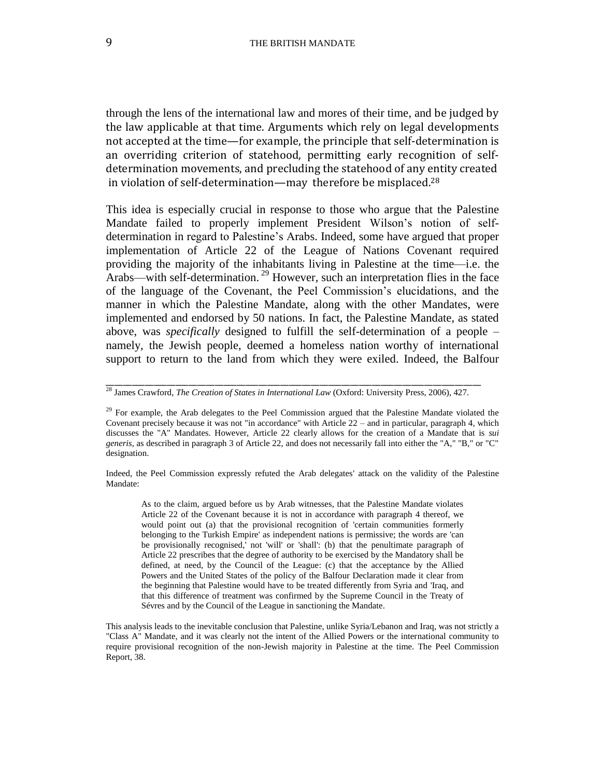through the lens of the international law and mores of their time, and be judged by the law applicable at that time. Arguments which rely on legal developments not accepted at the time—for example, the principle that self-determination is an overriding criterion of statehood, permitting early recognition of selfdetermination movements, and precluding the statehood of any entity created in violation of self-determination—may therefore be misplaced.<sup>28</sup>

This idea is especially crucial in response to those who argue that the Palestine Mandate failed to properly implement President Wilson's notion of selfdetermination in regard to Palestine's Arabs. Indeed, some have argued that proper implementation of Article 22 of the League of Nations Covenant required providing the majority of the inhabitants living in Palestine at the time—i.e. the Arabs—with self-determination.<sup>29</sup> However, such an interpretation flies in the face of the language of the Covenant, the Peel Commission's elucidations, and the manner in which the Palestine Mandate, along with the other Mandates, were implemented and endorsed by 50 nations. In fact, the Palestine Mandate, as stated above, was *specifically* designed to fulfill the self-determination of a people – namely, the Jewish people, deemed a homeless nation worthy of international support to return to the land from which they were exiled. Indeed, the Balfour

\_\_\_\_\_\_\_\_\_\_\_\_\_\_\_\_\_\_\_\_\_\_\_\_\_\_\_\_\_\_\_\_\_\_\_\_\_\_\_\_\_\_\_\_\_\_\_\_\_\_\_\_\_\_\_\_\_\_\_\_\_\_\_\_\_\_\_\_\_\_\_\_\_\_\_\_\_\_\_\_\_\_\_\_\_\_

Indeed, the Peel Commission expressly refuted the Arab delegates' attack on the validity of the Palestine Mandate:

As to the claim, argued before us by Arab witnesses, that the Palestine Mandate violates Article 22 of the Covenant because it is not in accordance with paragraph 4 thereof, we would point out (a) that the provisional recognition of 'certain communities formerly belonging to the Turkish Empire' as independent nations is permissive; the words are 'can be provisionally recognised,' not 'will' or 'shall': (b) that the penultimate paragraph of Article 22 prescribes that the degree of authority to be exercised by the Mandatory shall be defined, at need, by the Council of the League: (c) that the acceptance by the Allied Powers and the United States of the policy of the Balfour Declaration made it clear from the beginning that Palestine would have to be treated differently from Syria and 'Iraq, and that this difference of treatment was confirmed by the Supreme Council in the Treaty of Sévres and by the Council of the League in sanctioning the Mandate.

This analysis leads to the inevitable conclusion that Palestine, unlike Syria/Lebanon and Iraq, was not strictly a "Class A" Mandate, and it was clearly not the intent of the Allied Powers or the international community to require provisional recognition of the non-Jewish majority in Palestine at the time. The Peel Commission Report, 38.

<sup>28</sup> James Crawford, *The Creation of States in International Law* (Oxford: University Press, 2006), 427.

 $29$  For example, the Arab delegates to the Peel Commission argued that the Palestine Mandate violated the Covenant precisely because it was not "in accordance" with Article 22 – and in particular, paragraph 4, which discusses the "A" Mandates. However, Article 22 clearly allows for the creation of a Mandate that is *sui generis*, as described in paragraph 3 of Article 22, and does not necessarily fall into either the "A," "B," or "C" designation.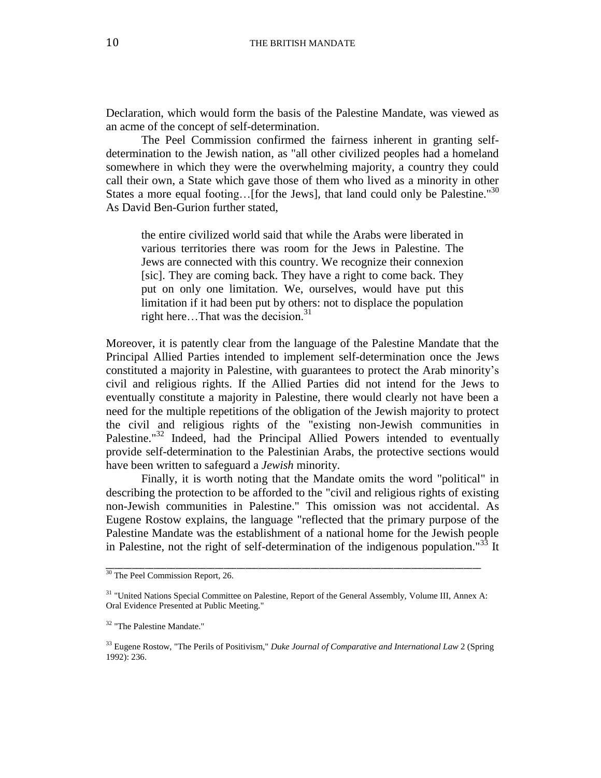Declaration, which would form the basis of the Palestine Mandate, was viewed as an acme of the concept of self-determination.

The Peel Commission confirmed the fairness inherent in granting selfdetermination to the Jewish nation, as "all other civilized peoples had a homeland somewhere in which they were the overwhelming majority, a country they could call their own, a State which gave those of them who lived as a minority in other States a more equal footing...[for the Jews], that land could only be Palestine."<sup>30</sup> As David Ben-Gurion further stated,

the entire civilized world said that while the Arabs were liberated in various territories there was room for the Jews in Palestine. The Jews are connected with this country. We recognize their connexion [sic]. They are coming back. They have a right to come back. They put on only one limitation. We, ourselves, would have put this limitation if it had been put by others: not to displace the population right here...That was the decision. $31$ 

Moreover, it is patently clear from the language of the Palestine Mandate that the Principal Allied Parties intended to implement self-determination once the Jews constituted a majority in Palestine, with guarantees to protect the Arab minority's civil and religious rights. If the Allied Parties did not intend for the Jews to eventually constitute a majority in Palestine, there would clearly not have been a need for the multiple repetitions of the obligation of the Jewish majority to protect the civil and religious rights of the "existing non-Jewish communities in Palestine."<sup>32</sup> Indeed, had the Principal Allied Powers intended to eventually provide self-determination to the Palestinian Arabs, the protective sections would have been written to safeguard a *Jewish* minority.

Finally, it is worth noting that the Mandate omits the word "political" in describing the protection to be afforded to the "civil and religious rights of existing non-Jewish communities in Palestine." This omission was not accidental. As Eugene Rostow explains, the language "reflected that the primary purpose of the Palestine Mandate was the establishment of a national home for the Jewish people in Palestine, not the right of self-determination of the indigenous population."<sup>33</sup> It

<sup>&</sup>lt;sup>30</sup> The Peel Commission Report, 26.

<sup>&</sup>lt;sup>31</sup> "United Nations Special Committee on Palestine, Report of the General Assembly, Volume III, Annex A: Oral Evidence Presented at Public Meeting."

<sup>&</sup>lt;sup>32</sup> "The Palestine Mandate."

<sup>33</sup> Eugene Rostow, "The Perils of Positivism," *Duke Journal of Comparative and International Law* 2 (Spring 1992): 236.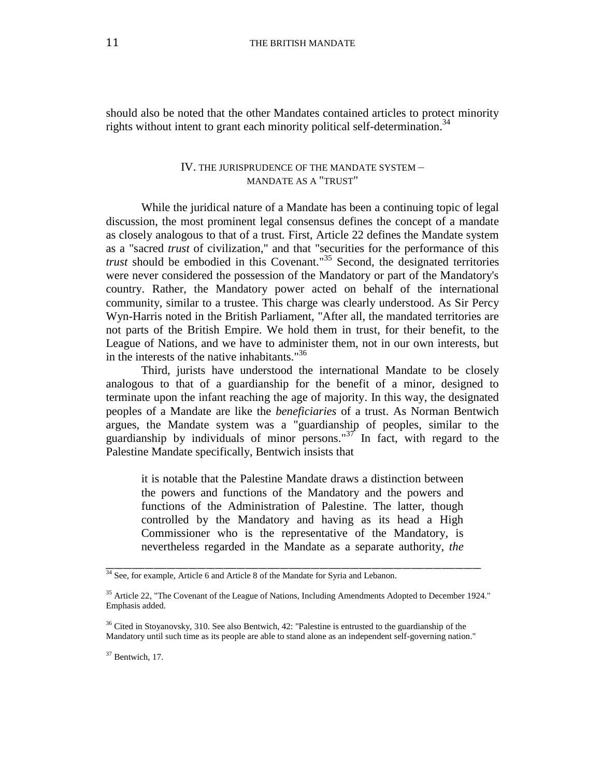should also be noted that the other Mandates contained articles to protect minority rights without intent to grant each minority political self-determination.<sup>34</sup>

#### IV. THE JURISPRUDENCE OF THE MANDATE SYSTEM – MANDATE AS A "TRUST"

While the juridical nature of a Mandate has been a continuing topic of legal discussion, the most prominent legal consensus defines the concept of a mandate as closely analogous to that of a trust*.* First, Article 22 defines the Mandate system as a "sacred *trust* of civilization," and that "securities for the performance of this *trust* should be embodied in this Covenant." <sup>35</sup> Second, the designated territories were never considered the possession of the Mandatory or part of the Mandatory's country. Rather, the Mandatory power acted on behalf of the international community, similar to a trustee. This charge was clearly understood. As Sir Percy Wyn-Harris noted in the British Parliament, "After all, the mandated territories are not parts of the British Empire. We hold them in trust, for their benefit, to the League of Nations, and we have to administer them, not in our own interests, but in the interests of the native inhabitants." 36

Third, jurists have understood the international Mandate to be closely analogous to that of a guardianship for the benefit of a minor, designed to terminate upon the infant reaching the age of majority. In this way, the designated peoples of a Mandate are like the *beneficiaries* of a trust. As Norman Bentwich argues, the Mandate system was a "guardianship of peoples, similar to the guardianship by individuals of minor persons." $37$  In fact, with regard to the Palestine Mandate specifically, Bentwich insists that

it is notable that the Palestine Mandate draws a distinction between the powers and functions of the Mandatory and the powers and functions of the Administration of Palestine. The latter, though controlled by the Mandatory and having as its head a High Commissioner who is the representative of the Mandatory, is nevertheless regarded in the Mandate as a separate authority, *the* 

<sup>&</sup>lt;sup>34</sup> See, for example, Article 6 and Article 8 of the Mandate for Syria and Lebanon.

<sup>&</sup>lt;sup>35</sup> Article 22, "The Covenant of the League of Nations, Including Amendments Adopted to December 1924." Emphasis added.

<sup>&</sup>lt;sup>36</sup> Cited in Stoyanovsky, 310. See also Bentwich, 42: "Palestine is entrusted to the guardianship of the Mandatory until such time as its people are able to stand alone as an independent self-governing nation."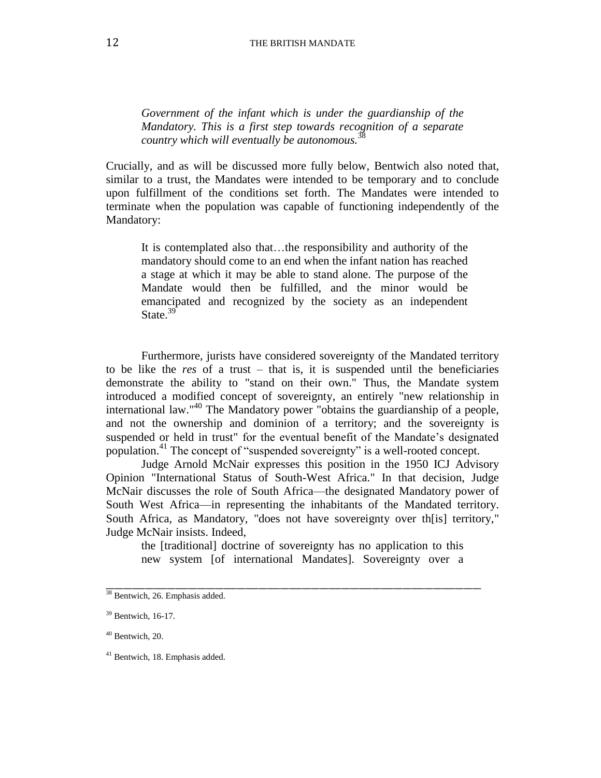*Government of the infant which is under the guardianship of the Mandatory. This is a first step towards recognition of a separate country which will eventually be autonomous.*<sup>38</sup>

Crucially, and as will be discussed more fully below, Bentwich also noted that, similar to a trust, the Mandates were intended to be temporary and to conclude upon fulfillment of the conditions set forth. The Mandates were intended to terminate when the population was capable of functioning independently of the Mandatory:

It is contemplated also that…the responsibility and authority of the mandatory should come to an end when the infant nation has reached a stage at which it may be able to stand alone. The purpose of the Mandate would then be fulfilled, and the minor would be emancipated and recognized by the society as an independent State.<sup>39</sup>

Furthermore, jurists have considered sovereignty of the Mandated territory to be like the *res* of a trust – that is, it is suspended until the beneficiaries demonstrate the ability to "stand on their own." Thus, the Mandate system introduced a modified concept of sovereignty, an entirely "new relationship in international law." <sup>40</sup> The Mandatory power "obtains the guardianship of a people, and not the ownership and dominion of a territory; and the sovereignty is suspended or held in trust" for the eventual benefit of the Mandate's designated population.<sup>41</sup> The concept of "suspended sovereignty" is a well-rooted concept.

Judge Arnold McNair expresses this position in the 1950 ICJ Advisory Opinion "International Status of South-West Africa." In that decision, Judge McNair discusses the role of South Africa—the designated Mandatory power of South West Africa—in representing the inhabitants of the Mandated territory. South Africa, as Mandatory, "does not have sovereignty over th[is] territory," Judge McNair insists. Indeed,

the [traditional] doctrine of sovereignty has no application to this new system [of international Mandates]. Sovereignty over a

<sup>&</sup>lt;sup>38</sup> Bentwich, 26. Emphasis added.

<sup>39</sup> Bentwich, 16-17.

<sup>40</sup> Bentwich, 20.

<sup>41</sup> Bentwich, 18. Emphasis added.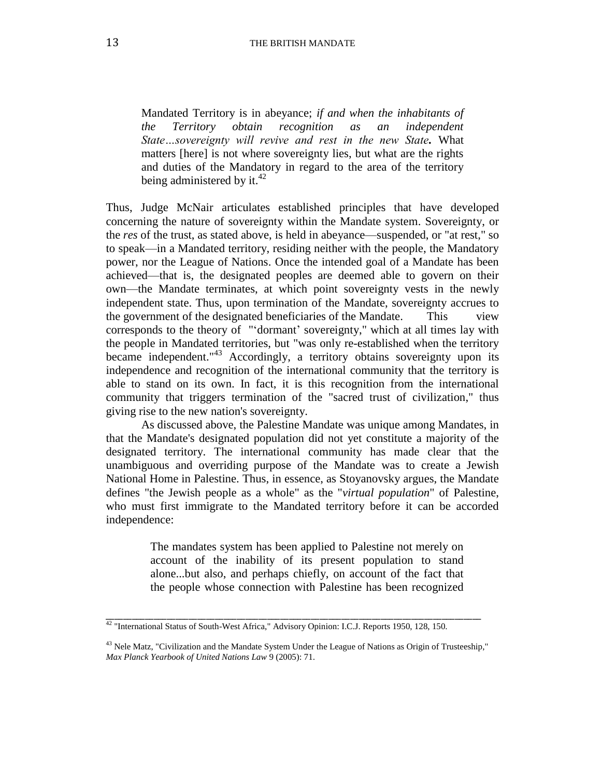Mandated Territory is in abeyance; *if and when the inhabitants of the Territory obtain recognition as an independent State…sovereignty will revive and rest in the new State.* What matters [here] is not where sovereignty lies, but what are the rights and duties of the Mandatory in regard to the area of the territory being administered by it. $^{42}$ 

Thus, Judge McNair articulates established principles that have developed concerning the nature of sovereignty within the Mandate system. Sovereignty, or the *res* of the trust, as stated above, is held in abeyance—suspended, or "at rest," so to speak—in a Mandated territory, residing neither with the people, the Mandatory power, nor the League of Nations. Once the intended goal of a Mandate has been achieved—that is, the designated peoples are deemed able to govern on their own—the Mandate terminates, at which point sovereignty vests in the newly independent state. Thus, upon termination of the Mandate, sovereignty accrues to the government of the designated beneficiaries of the Mandate. This view corresponds to the theory of "'dormant' sovereignty," which at all times lay with the people in Mandated territories, but "was only re-established when the territory became independent."<sup>43</sup> Accordingly, a territory obtains sovereignty upon its independence and recognition of the international community that the territory is able to stand on its own. In fact, it is this recognition from the international community that triggers termination of the "sacred trust of civilization," thus giving rise to the new nation's sovereignty.

As discussed above, the Palestine Mandate was unique among Mandates, in that the Mandate's designated population did not yet constitute a majority of the designated territory. The international community has made clear that the unambiguous and overriding purpose of the Mandate was to create a Jewish National Home in Palestine. Thus, in essence, as Stoyanovsky argues, the Mandate defines "the Jewish people as a whole" as the "*virtual population*" of Palestine, who must first immigrate to the Mandated territory before it can be accorded independence:

> The mandates system has been applied to Palestine not merely on account of the inability of its present population to stand alone...but also, and perhaps chiefly, on account of the fact that the people whose connection with Palestine has been recognized

<sup>&</sup>lt;sup>42</sup> "International Status of South-West Africa," Advisory Opinion: I.C.J. Reports 1950, 128, 150.

<sup>&</sup>lt;sup>43</sup> Nele Matz, "Civilization and the Mandate System Under the League of Nations as Origin of Trusteeship," *Max Planck Yearbook of United Nations Law* 9 (2005): 71.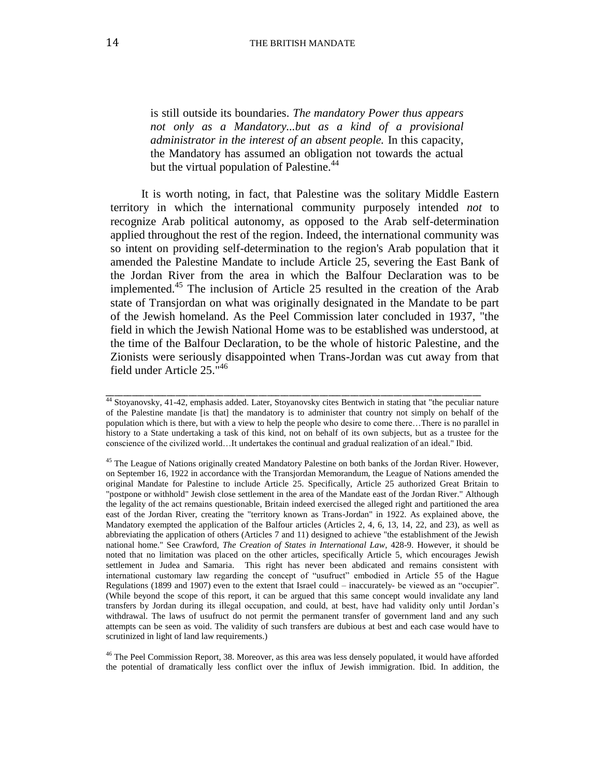is still outside its boundaries. *The mandatory Power thus appears not only as a Mandatory...but as a kind of a provisional administrator in the interest of an absent people.* In this capacity, the Mandatory has assumed an obligation not towards the actual but the virtual population of Palestine.<sup>44</sup>

It is worth noting, in fact, that Palestine was the solitary Middle Eastern territory in which the international community purposely intended *not* to recognize Arab political autonomy, as opposed to the Arab self-determination applied throughout the rest of the region. Indeed, the international community was so intent on providing self-determination to the region's Arab population that it amended the Palestine Mandate to include Article 25, severing the East Bank of the Jordan River from the area in which the Balfour Declaration was to be implemented. <sup>45</sup> The inclusion of Article 25 resulted in the creation of the Arab state of Transjordan on what was originally designated in the Mandate to be part of the Jewish homeland. As the Peel Commission later concluded in 1937, "the field in which the Jewish National Home was to be established was understood, at the time of the Balfour Declaration, to be the whole of historic Palestine*,* and the Zionists were seriously disappointed when Trans-Jordan was cut away from that field under Article 25." 46

\_\_\_\_\_\_\_\_\_\_\_\_\_\_\_\_\_\_\_\_\_\_\_\_\_\_\_\_\_\_\_\_\_\_\_\_\_\_\_\_\_\_\_\_\_\_\_\_\_\_\_\_\_\_\_\_\_\_\_\_\_\_\_\_\_\_\_\_\_\_\_\_\_\_\_\_\_\_\_\_\_\_\_\_\_\_

<sup>46</sup> The Peel Commission Report, 38. Moreover, as this area was less densely populated, it would have afforded the potential of dramatically less conflict over the influx of Jewish immigration. Ibid. In addition, the

<sup>44</sup> Stoyanovsky, 41-42, emphasis added. Later, Stoyanovsky cites Bentwich in stating that "the peculiar nature of the Palestine mandate [is that] the mandatory is to administer that country not simply on behalf of the population which is there, but with a view to help the people who desire to come there…There is no parallel in history to a State undertaking a task of this kind, not on behalf of its own subjects, but as a trustee for the conscience of the civilized world…It undertakes the continual and gradual realization of an ideal." Ibid.

<sup>&</sup>lt;sup>45</sup> The League of Nations originally created Mandatory Palestine on both banks of the Jordan River. However, on September 16, 1922 in accordance with the Transjordan Memorandum, the League of Nations amended the original Mandate for Palestine to include Article 25. Specifically, Article 25 authorized Great Britain to "postpone or withhold" Jewish close settlement in the area of the Mandate east of the Jordan River." Although the legality of the act remains questionable, Britain indeed exercised the alleged right and partitioned the area east of the Jordan River, creating the "territory known as Trans-Jordan" in 1922. As explained above, the Mandatory exempted the application of the Balfour articles (Articles 2, 4, 6, 13, 14, 22, and 23), as well as abbreviating the application of others (Articles 7 and 11) designed to achieve "the establishment of the Jewish national home." See Crawford, *The Creation of States in International Law*, 428-9. However, it should be noted that no limitation was placed on the other articles, specifically Article 5, which encourages Jewish settlement in Judea and Samaria. This right has never been abdicated and remains consistent with international customary law regarding the concept of "usufruct" embodied in Article 55 of the Hague Regulations (1899 and 1907) even to the extent that Israel could – inaccurately- be viewed as an "occupier". (While beyond the scope of this report, it can be argued that this same concept would invalidate any land transfers by Jordan during its illegal occupation, and could, at best, have had validity only until Jordan's withdrawal. The laws of usufruct do not permit the permanent transfer of government land and any such attempts can be seen as void. The validity of such transfers are dubious at best and each case would have to scrutinized in light of land law requirements.)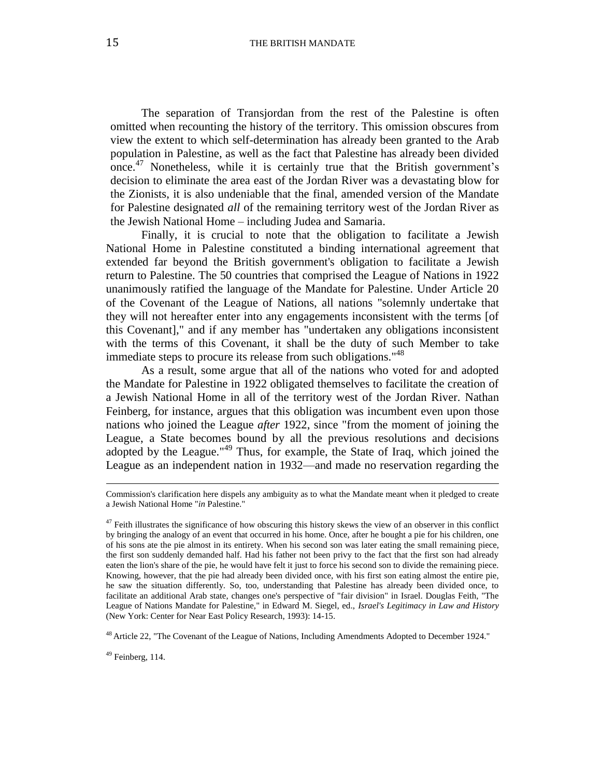The separation of Transjordan from the rest of the Palestine is often omitted when recounting the history of the territory. This omission obscures from view the extent to which self-determination has already been granted to the Arab population in Palestine, as well as the fact that Palestine has already been divided once.<sup>47</sup> Nonetheless, while it is certainly true that the British government's decision to eliminate the area east of the Jordan River was a devastating blow for the Zionists, it is also undeniable that the final, amended version of the Mandate for Palestine designated *all* of the remaining territory west of the Jordan River as the Jewish National Home – including Judea and Samaria.

Finally, it is crucial to note that the obligation to facilitate a Jewish National Home in Palestine constituted a binding international agreement that extended far beyond the British government's obligation to facilitate a Jewish return to Palestine. The 50 countries that comprised the League of Nations in 1922 unanimously ratified the language of the Mandate for Palestine. Under Article 20 of the Covenant of the League of Nations, all nations "solemnly undertake that they will not hereafter enter into any engagements inconsistent with the terms [of this Covenant]," and if any member has "undertaken any obligations inconsistent with the terms of this Covenant, it shall be the duty of such Member to take immediate steps to procure its release from such obligations."<sup>48</sup>

As a result, some argue that all of the nations who voted for and adopted the Mandate for Palestine in 1922 obligated themselves to facilitate the creation of a Jewish National Home in all of the territory west of the Jordan River. Nathan Feinberg, for instance, argues that this obligation was incumbent even upon those nations who joined the League *after* 1922, since "from the moment of joining the League, a State becomes bound by all the previous resolutions and decisions adopted by the League."<sup>49</sup> Thus, for example, the State of Iraq, which joined the League as an independent nation in 1932—and made no reservation regarding the

<sup>48</sup> Article 22, "The Covenant of the League of Nations, Including Amendments Adopted to December 1924."

<sup>49</sup> Feinberg, 114.

 $\overline{\phantom{a}}$ 

Commission's clarification here dispels any ambiguity as to what the Mandate meant when it pledged to create a Jewish National Home "*in* Palestine."

 $47$  Feith illustrates the significance of how obscuring this history skews the view of an observer in this conflict by bringing the analogy of an event that occurred in his home. Once, after he bought a pie for his children, one of his sons ate the pie almost in its entirety. When his second son was later eating the small remaining piece, the first son suddenly demanded half. Had his father not been privy to the fact that the first son had already eaten the lion's share of the pie, he would have felt it just to force his second son to divide the remaining piece. Knowing, however, that the pie had already been divided once, with his first son eating almost the entire pie, he saw the situation differently. So, too, understanding that Palestine has already been divided once, to facilitate an additional Arab state, changes one's perspective of "fair division" in Israel. Douglas Feith, "The League of Nations Mandate for Palestine," in Edward M. Siegel, ed., *Israel's Legitimacy in Law and History* (New York: Center for Near East Policy Research, 1993): 14-15.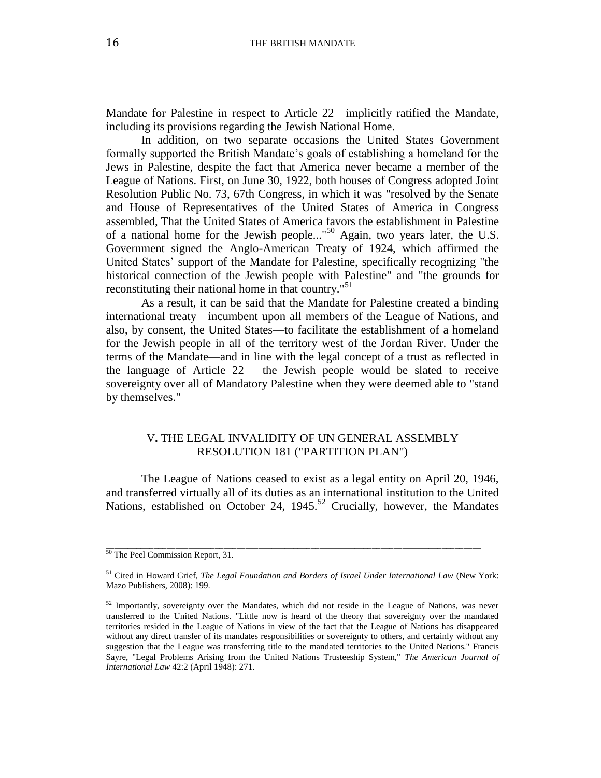Mandate for Palestine in respect to Article 22—implicitly ratified the Mandate, including its provisions regarding the Jewish National Home.

In addition, on two separate occasions the United States Government formally supported the British Mandate's goals of establishing a homeland for the Jews in Palestine, despite the fact that America never became a member of the League of Nations. First, on June 30, 1922, both houses of Congress adopted Joint Resolution Public No. 73, 67th Congress, in which it was "resolved by the Senate and House of Representatives of the United States of America in Congress assembled, That the United States of America favors the establishment in Palestine of a national home for the Jewish people..."<sup>50</sup> Again, two years later, the U.S. Government signed the Anglo-American Treaty of 1924, which affirmed the United States' support of the Mandate for Palestine, specifically recognizing "the historical connection of the Jewish people with Palestine" and "the grounds for reconstituting their national home in that country."<sup>51</sup>

As a result, it can be said that the Mandate for Palestine created a binding international treaty—incumbent upon all members of the League of Nations, and also, by consent, the United States—to facilitate the establishment of a homeland for the Jewish people in all of the territory west of the Jordan River. Under the terms of the Mandate—and in line with the legal concept of a trust as reflected in the language of Article 22 —the Jewish people would be slated to receive sovereignty over all of Mandatory Palestine when they were deemed able to "stand by themselves."

#### V**.** THE LEGAL INVALIDITY OF UN GENERAL ASSEMBLY RESOLUTION 181 ("PARTITION PLAN")

The League of Nations ceased to exist as a legal entity on April 20, 1946, and transferred virtually all of its duties as an international institution to the United Nations, established on October 24, 1945.<sup>52</sup> Crucially, however, the Mandates

<sup>&</sup>lt;sup>50</sup> The Peel Commission Report, 31.

<sup>51</sup> Cited in Howard Grief, *The Legal Foundation and Borders of Israel Under International Law* (New York: Mazo Publishers, 2008): 199.

 $52$  Importantly, sovereignty over the Mandates, which did not reside in the League of Nations, was never transferred to the United Nations. "Little now is heard of the theory that sovereignty over the mandated territories resided in the League of Nations in view of the fact that the League of Nations has disappeared without any direct transfer of its mandates responsibilities or sovereignty to others, and certainly without any suggestion that the League was transferring title to the mandated territories to the United Nations." Francis Sayre, "Legal Problems Arising from the United Nations Trusteeship System," *The American Journal of International Law* 42:2 (April 1948): 271.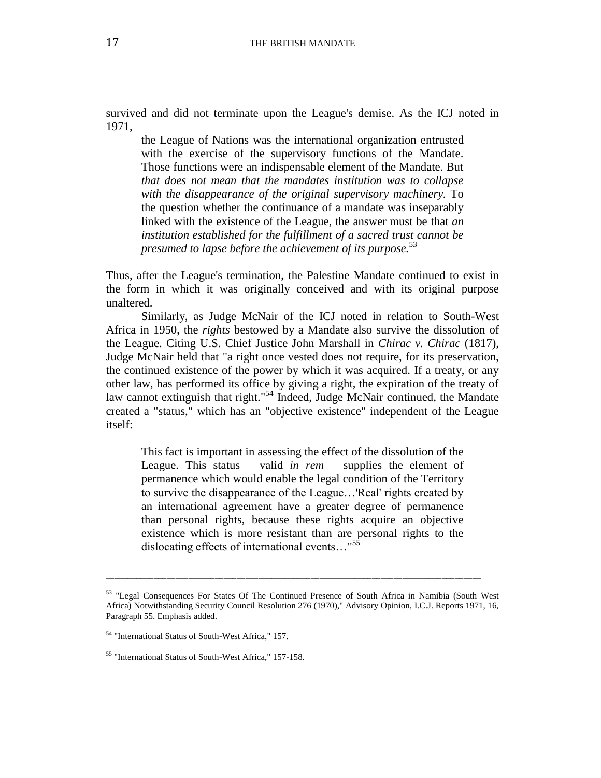survived and did not terminate upon the League's demise. As the ICJ noted in 1971,

the League of Nations was the international organization entrusted with the exercise of the supervisory functions of the Mandate. Those functions were an indispensable element of the Mandate. But *that does not mean that the mandates institution was to collapse with the disappearance of the original supervisory machinery.* To the question whether the continuance of a mandate was inseparably linked with the existence of the League, the answer must be that *an institution established for the fulfillment of a sacred trust cannot be presumed to lapse before the achievement of its purpose.* 53

Thus, after the League's termination, the Palestine Mandate continued to exist in the form in which it was originally conceived and with its original purpose unaltered.

Similarly, as Judge McNair of the ICJ noted in relation to South-West Africa in 1950, the *rights* bestowed by a Mandate also survive the dissolution of the League. Citing U.S. Chief Justice John Marshall in *Chirac v. Chirac* (1817), Judge McNair held that "a right once vested does not require, for its preservation, the continued existence of the power by which it was acquired. If a treaty, or any other law, has performed its office by giving a right, the expiration of the treaty of law cannot extinguish that right."<sup>54</sup> Indeed, Judge McNair continued, the Mandate created a "status," which has an "objective existence" independent of the League itself:

This fact is important in assessing the effect of the dissolution of the League. This status – valid *in rem* – supplies the element of permanence which would enable the legal condition of the Territory to survive the disappearance of the League…'Real' rights created by an international agreement have a greater degree of permanence than personal rights, because these rights acquire an objective existence which is more resistant than are personal rights to the dislocating effects of international events..."<sup>55</sup>

<sup>53 &</sup>quot;Legal Consequences For States Of The Continued Presence of South Africa in Namibia (South West Africa) Notwithstanding Security Council Resolution 276 (1970)," Advisory Opinion, I.C.J. Reports 1971, 16, Paragraph 55. Emphasis added.

<sup>54</sup> "International Status of South-West Africa," 157.

<sup>55</sup> "International Status of South-West Africa," 157-158.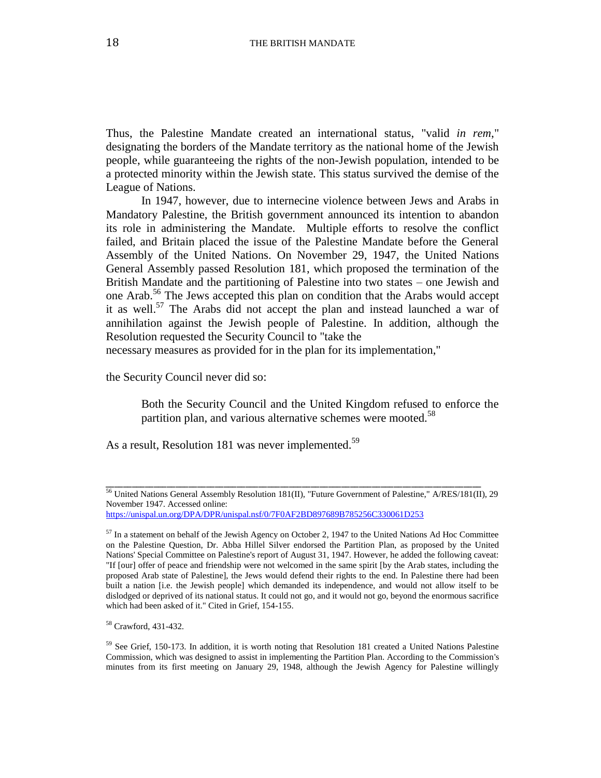Thus, the Palestine Mandate created an international status, "valid *in rem*," designating the borders of the Mandate territory as the national home of the Jewish people, while guaranteeing the rights of the non-Jewish population, intended to be a protected minority within the Jewish state. This status survived the demise of the League of Nations.

In 1947, however, due to internecine violence between Jews and Arabs in Mandatory Palestine, the British government announced its intention to abandon its role in administering the Mandate. Multiple efforts to resolve the conflict failed, and Britain placed the issue of the Palestine Mandate before the General Assembly of the United Nations. On November 29, 1947, the United Nations General Assembly passed Resolution 181, which proposed the termination of the British Mandate and the partitioning of Palestine into two states – one Jewish and one Arab.<sup>56</sup> The Jews accepted this plan on condition that the Arabs would accept it as well.<sup>57</sup> The Arabs did not accept the plan and instead launched a war of annihilation against the Jewish people of Palestine. In addition, although the Resolution requested the Security Council to "take the

necessary measures as provided for in the plan for its implementation,"

the Security Council never did so:

Both the Security Council and the United Kingdom refused to enforce the partition plan, and various alternative schemes were mooted.<sup>58</sup>

As a result, Resolution 181 was never implemented.<sup>59</sup>

<sup>56</sup> United Nations General Assembly Resolution 181(II), "Future Government of Palestine," A/RES/181(II), 29 November 1947. Accessed online:

<https://unispal.un.org/DPA/DPR/unispal.nsf/0/7F0AF2BD897689B785256C330061D253>

 $57$  In a statement on behalf of the Jewish Agency on October 2, 1947 to the United Nations Ad Hoc Committee on the Palestine Question, Dr. Abba Hillel Silver endorsed the Partition Plan, as proposed by the United Nations' Special Committee on Palestine's report of August 31, 1947. However, he added the following caveat: "If [our] offer of peace and friendship were not welcomed in the same spirit [by the Arab states, including the proposed Arab state of Palestine], the Jews would defend their rights to the end. In Palestine there had been built a nation [i.e. the Jewish people] which demanded its independence, and would not allow itself to be dislodged or deprived of its national status. It could not go, and it would not go, beyond the enormous sacrifice which had been asked of it." Cited in Grief, 154-155.

<sup>58</sup> Crawford, 431-432.

<sup>59</sup> See Grief, 150-173. In addition, it is worth noting that Resolution 181 created a United Nations Palestine Commission, which was designed to assist in implementing the Partition Plan. According to the Commission's minutes from its first meeting on January 29, 1948, although the Jewish Agency for Palestine willingly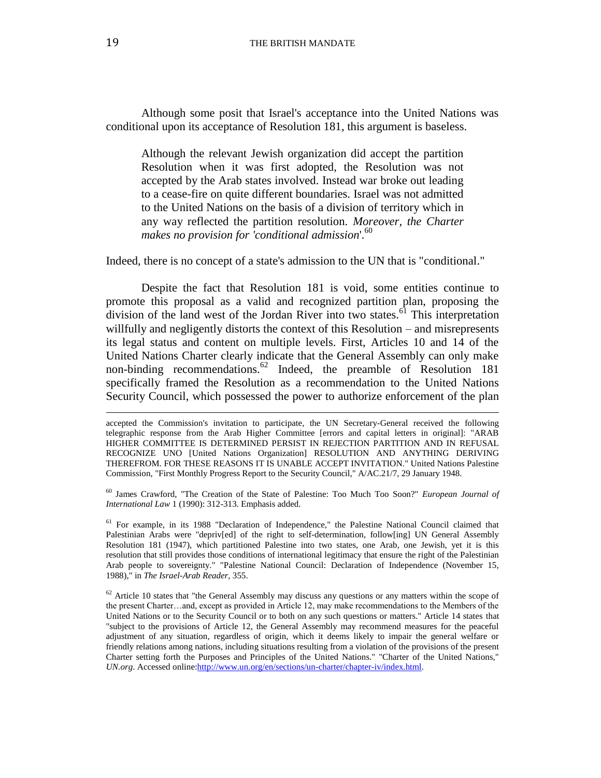Although some posit that Israel's acceptance into the United Nations was conditional upon its acceptance of Resolution 181, this argument is baseless.

Although the relevant Jewish organization did accept the partition Resolution when it was first adopted, the Resolution was not accepted by the Arab states involved. Instead war broke out leading to a cease-fire on quite different boundaries. Israel was not admitted to the United Nations on the basis of a division of territory which in any way reflected the partition resolution. *Moreover, the Charter*  makes no provision for 'conditional admission'.<sup>60</sup>

Indeed, there is no concept of a state's admission to the UN that is "conditional."

Despite the fact that Resolution 181 is void, some entities continue to promote this proposal as a valid and recognized partition plan, proposing the division of the land west of the Jordan River into two states. $^{61}$  This interpretation willfully and negligently distorts the context of this Resolution – and misrepresents its legal status and content on multiple levels. First, Articles 10 and 14 of the United Nations Charter clearly indicate that the General Assembly can only make non-binding recommendations.<sup>62</sup> Indeed, the preamble of Resolution 181 specifically framed the Resolution as a recommendation to the United Nations Security Council, which possessed the power to authorize enforcement of the plan

<sup>60</sup> James Crawford, "The Creation of the State of Palestine: Too Much Too Soon?" *European Journal of International Law* 1 (1990): 312-313. Emphasis added.

<sup>61</sup> For example, in its 1988 "Declaration of Independence," the Palestine National Council claimed that Palestinian Arabs were "depriv[ed] of the right to self-determination, follow[ing] UN General Assembly Resolution 181 (1947), which partitioned Palestine into two states, one Arab, one Jewish, yet it is this resolution that still provides those conditions of international legitimacy that ensure the right of the Palestinian Arab people to sovereignty." "Palestine National Council: Declaration of Independence (November 15, 1988)," in *The Israel-Arab Reader*, 355.

 $\overline{\phantom{a}}$ 

accepted the Commission's invitation to participate, the UN Secretary-General received the following telegraphic response from the Arab Higher Committee [errors and capital letters in original]: "ARAB HIGHER COMMITTEE IS DETERMINED PERSIST IN REJECTION PARTITION AND IN REFUSAL RECOGNIZE UNO [United Nations Organization] RESOLUTION AND ANYTHING DERIVING THEREFROM. FOR THESE REASONS IT IS UNABLE ACCEPT INVITATION." United Nations Palestine Commission, "First Monthly Progress Report to the Security Council," A/AC.21/7, 29 January 1948.

 $62$  Article 10 states that "the General Assembly may discuss any questions or any matters within the scope of the present Charter…and, except as provided in Article 12, may make recommendations to the Members of the United Nations or to the Security Council or to both on any such questions or matters." Article 14 states that "subject to the provisions of Article 12, the General Assembly may recommend measures for the peaceful adjustment of any situation, regardless of origin, which it deems likely to impair the general welfare or friendly relations among nations, including situations resulting from a violation of the provisions of the present Charter setting forth the Purposes and Principles of the United Nations." "Charter of the United Nations," *UN.org*. Accessed online[:http://www.un.org/en/sections/un-charter/chapter-iv/index.html.](http://www.un.org/en/sections/un-charter/chapter-iv/index.html)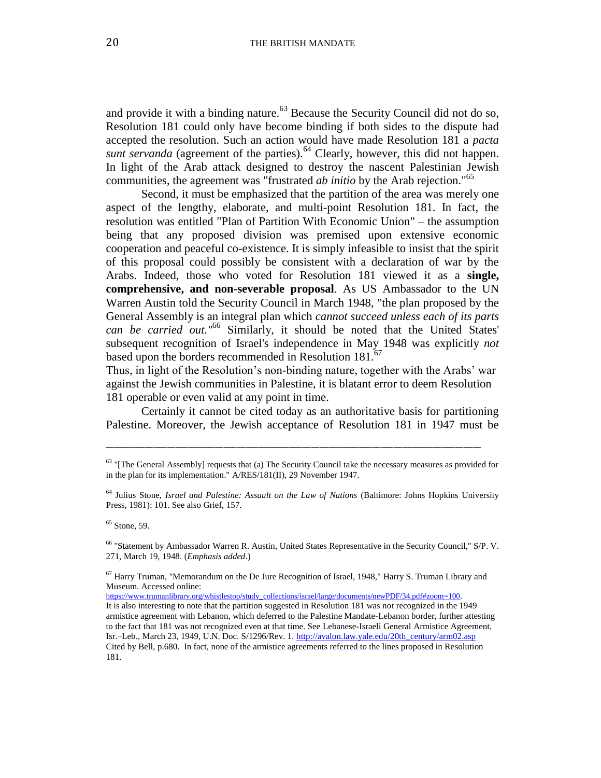and provide it with a binding nature.<sup>63</sup> Because the Security Council did not do so, Resolution 181 could only have become binding if both sides to the dispute had accepted the resolution. Such an action would have made Resolution 181 a *pacta sunt servanda* (agreement of the parties).<sup>64</sup> Clearly, however, this did not happen. In light of the Arab attack designed to destroy the nascent Palestinian Jewish communities, the agreement was "frustrated *ab initio* by the Arab rejection." 65

Second, it must be emphasized that the partition of the area was merely one aspect of the lengthy, elaborate, and multi-point Resolution 181. In fact, the resolution was entitled "Plan of Partition With Economic Union" – the assumption being that any proposed division was premised upon extensive economic cooperation and peaceful co-existence. It is simply infeasible to insist that the spirit of this proposal could possibly be consistent with a declaration of war by the Arabs. Indeed, those who voted for Resolution 181 viewed it as a **single, comprehensive, and non-severable proposal**. As US Ambassador to the UN Warren Austin told the Security Council in March 1948, "the plan proposed by the General Assembly is an integral plan which *cannot succeed unless each of its parts can be carried out."* <sup>66</sup> Similarly, it should be noted that the United States' subsequent recognition of Israel's independence in May 1948 was explicitly *not* based upon the borders recommended in Resolution 181.<sup>67</sup>

Thus, in light of the Resolution's non-binding nature, together with the Arabs' war against the Jewish communities in Palestine, it is blatant error to deem Resolution 181 operable or even valid at any point in time.

Certainly it cannot be cited today as an authoritative basis for partitioning Palestine. Moreover, the Jewish acceptance of Resolution 181 in 1947 must be

<sup>&</sup>lt;sup>63</sup> "[The General Assembly] requests that (a) The Security Council take the necessary measures as provided for in the plan for its implementation." A/RES/181(II), 29 November 1947.

<sup>64</sup> Julius Stone, *Israel and Palestine: Assault on the Law of Nations* (Baltimore: Johns Hopkins University Press, 1981): 101. See also Grief, 157.

<sup>&</sup>lt;sup>65</sup> Stone, 59.

<sup>66</sup> "Statement by Ambassador Warren R. Austin, United States Representative in the Security Council," S/P. V. 271, March 19, 1948. (*Emphasis added*.)

 $67$  Harry Truman, "Memorandum on the De Jure Recognition of Israel, 1948," Harry S. Truman Library and Museum. Accessed online:

[https://www.trumanlibrary.org/whistlestop/study\\_collections/israel/large/documents/newPDF/34.pdf#zoom=100.](https://www.trumanlibrary.org/whistlestop/study_collections/israel/large/documents/newPDF/34.pdf%23zoom=100) It is also interesting to note that the partition suggested in Resolution 181 was not recognized in the 1949 armistice agreement with Lebanon, which deferred to the Palestine Mandate-Lebanon border, further attesting to the fact that 181 was not recognized even at that time. See Lebanese-Israeli General Armistice Agreement, Isr.–Leb., March 23, 1949, U.N. Doc. S/1296/Rev. 1. [http://avalon.law.yale.edu/20th\\_century/arm02.asp](http://avalon.law.yale.edu/20th_century/arm02.asp) Cited by Bell, p.680. In fact, none of the armistice agreements referred to the lines proposed in Resolution 181.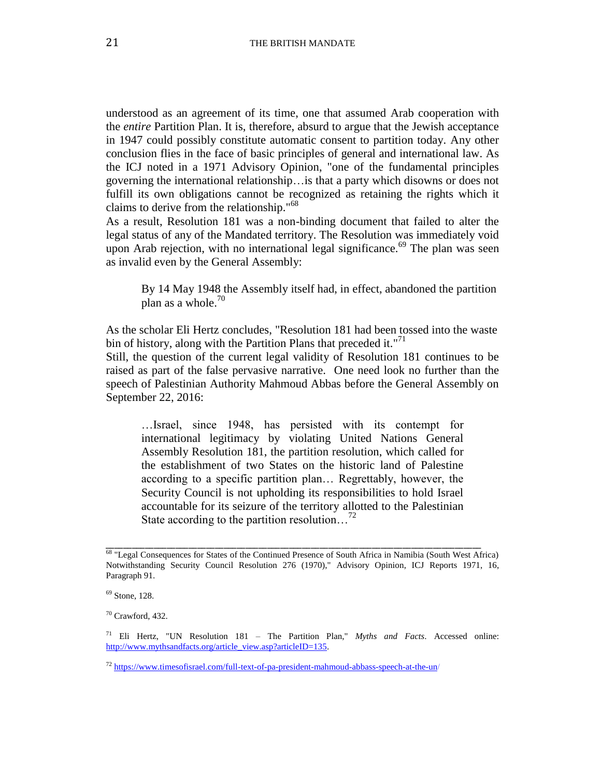understood as an agreement of its time, one that assumed Arab cooperation with the *entire* Partition Plan. It is, therefore, absurd to argue that the Jewish acceptance in 1947 could possibly constitute automatic consent to partition today. Any other conclusion flies in the face of basic principles of general and international law. As the ICJ noted in a 1971 Advisory Opinion, "one of the fundamental principles governing the international relationship…is that a party which disowns or does not fulfill its own obligations cannot be recognized as retaining the rights which it claims to derive from the relationship." 68

As a result, Resolution 181 was a non-binding document that failed to alter the legal status of any of the Mandated territory. The Resolution was immediately void upon Arab rejection, with no international legal significance.<sup>69</sup> The plan was seen as invalid even by the General Assembly:

By 14 May 1948 the Assembly itself had, in effect, abandoned the partition plan as a whole. $70$ 

As the scholar Eli Hertz concludes, "Resolution 181 had been tossed into the waste bin of history, along with the Partition Plans that preceded it."<sup>71</sup>

Still, the question of the current legal validity of Resolution 181 continues to be raised as part of the false pervasive narrative. One need look no further than the speech of Palestinian Authority Mahmoud Abbas before the General Assembly on September 22, 2016:

…Israel, since 1948, has persisted with its contempt for international legitimacy by violating United Nations General Assembly Resolution 181, the partition resolution, which called for the establishment of two States on the historic land of Palestine according to a specific partition plan… Regrettably, however, the Security Council is not upholding its responsibilities to hold Israel accountable for its seizure of the territory allotted to the Palestinian State according to the partition resolution...<sup>72</sup>

<sup>68</sup> "Legal Consequences for States of the Continued Presence of South Africa in Namibia (South West Africa) Notwithstanding Security Council Resolution 276 (1970)," Advisory Opinion, ICJ Reports 1971, 16, Paragraph 91.

<sup>69</sup> Stone, 128.

 $70$  Crawford, 432.

<sup>71</sup> Eli Hertz, "UN Resolution 181 – The Partition Plan," *Myths and Facts*. Accessed online: [http://www.mythsandfacts.org/article\\_view.asp?articleID=135.](http://www.mythsandfacts.org/article_view.asp?articleID=135)

<sup>72</sup> <https://www.timesofisrael.com/full-text-of-pa-president-mahmoud-abbass-speech-at-the-un/>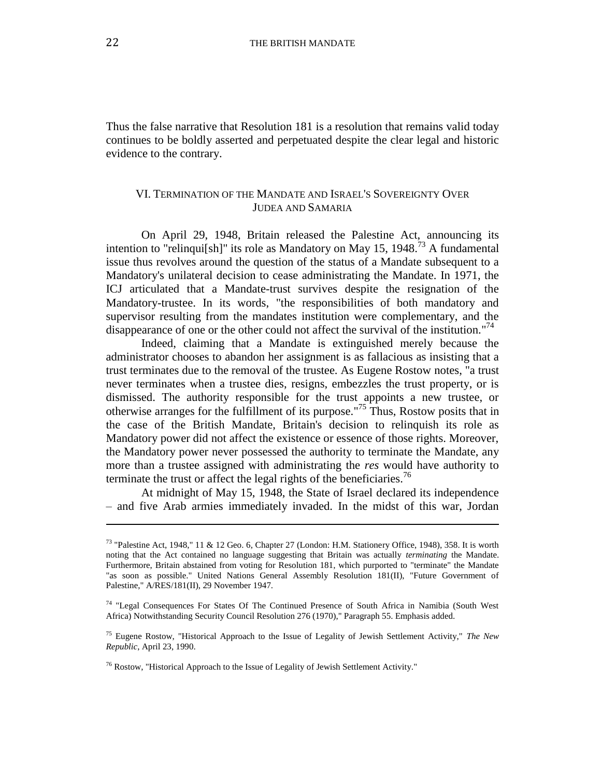Thus the false narrative that Resolution 181 is a resolution that remains valid today continues to be boldly asserted and perpetuated despite the clear legal and historic evidence to the contrary.

#### VI. TERMINATION OF THE MANDATE AND ISRAEL'S SOVEREIGNTY OVER JUDEA AND SAMARIA

On April 29, 1948, Britain released the Palestine Act, announcing its intention to "relinqui[sh]" its role as Mandatory on May 15, 1948.<sup>73</sup> A fundamental issue thus revolves around the question of the status of a Mandate subsequent to a Mandatory's unilateral decision to cease administrating the Mandate. In 1971, the ICJ articulated that a Mandate-trust survives despite the resignation of the Mandatory-trustee. In its words, "the responsibilities of both mandatory and supervisor resulting from the mandates institution were complementary, and the disappearance of one or the other could not affect the survival of the institution."<sup>74</sup>

Indeed, claiming that a Mandate is extinguished merely because the administrator chooses to abandon her assignment is as fallacious as insisting that a trust terminates due to the removal of the trustee. As Eugene Rostow notes, "a trust never terminates when a trustee dies, resigns, embezzles the trust property, or is dismissed. The authority responsible for the trust appoints a new trustee, or otherwise arranges for the fulfillment of its purpose."<sup>75</sup> Thus, Rostow posits that in the case of the British Mandate, Britain's decision to relinquish its role as Mandatory power did not affect the existence or essence of those rights. Moreover, the Mandatory power never possessed the authority to terminate the Mandate, any more than a trustee assigned with administrating the *res* would have authority to terminate the trust or affect the legal rights of the beneficiaries.<sup>76</sup>

At midnight of May 15, 1948, the State of Israel declared its independence – and five Arab armies immediately invaded. In the midst of this war, Jordan

 $\overline{\phantom{a}}$ 

<sup>73</sup> "Palestine Act, 1948," 11 & 12 Geo. 6, Chapter 27 (London: H.M. Stationery Office, 1948), 358. It is worth noting that the Act contained no language suggesting that Britain was actually *terminating* the Mandate. Furthermore, Britain abstained from voting for Resolution 181, which purported to "terminate" the Mandate "as soon as possible." United Nations General Assembly Resolution 181(II), "Future Government of Palestine," A/RES/181(II), 29 November 1947.

<sup>&</sup>lt;sup>74</sup> "Legal Consequences For States Of The Continued Presence of South Africa in Namibia (South West Africa) Notwithstanding Security Council Resolution 276 (1970)," Paragraph 55. Emphasis added.

<sup>75</sup> Eugene Rostow, "Historical Approach to the Issue of Legality of Jewish Settlement Activity," *The New Republic*, April 23, 1990.

 $76$  Rostow, "Historical Approach to the Issue of Legality of Jewish Settlement Activity."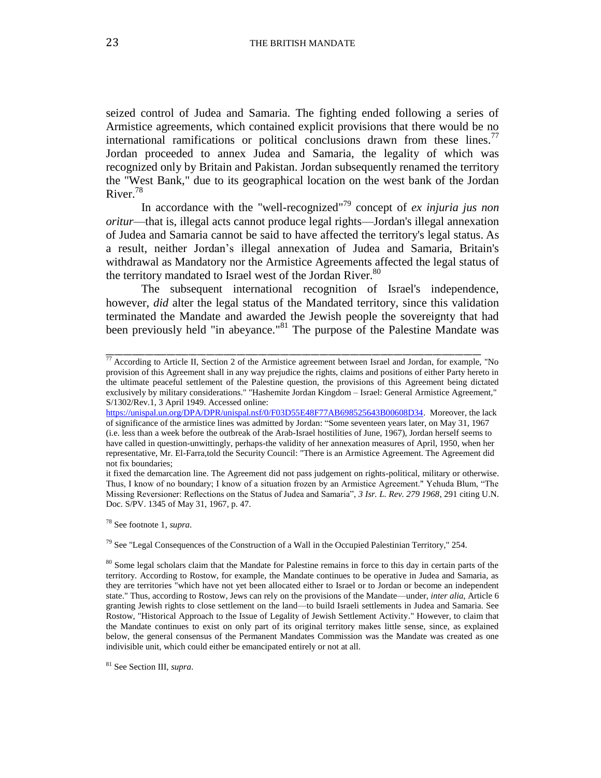seized control of Judea and Samaria. The fighting ended following a series of Armistice agreements, which contained explicit provisions that there would be no international ramifications or political conclusions drawn from these lines.<sup>77</sup> Jordan proceeded to annex Judea and Samaria, the legality of which was recognized only by Britain and Pakistan. Jordan subsequently renamed the territory the "West Bank," due to its geographical location on the west bank of the Jordan River. 78

In accordance with the "well-recognized" <sup>79</sup> concept of *ex injuria jus non oritur*—that is, illegal acts cannot produce legal rights—Jordan's illegal annexation of Judea and Samaria cannot be said to have affected the territory's legal status. As a result, neither Jordan's illegal annexation of Judea and Samaria, Britain's withdrawal as Mandatory nor the Armistice Agreements affected the legal status of the territory mandated to Israel west of the Jordan River.<sup>80</sup>

The subsequent international recognition of Israel's independence, however, *did* alter the legal status of the Mandated territory, since this validation terminated the Mandate and awarded the Jewish people the sovereignty that had been previously held "in abeyance."<sup>81</sup> The purpose of the Palestine Mandate was

\_\_\_\_\_\_\_\_\_\_\_\_\_\_\_\_\_\_\_\_\_\_\_\_\_\_\_\_\_\_\_\_\_\_\_\_\_\_\_\_\_\_\_\_\_\_\_\_\_\_\_\_\_\_\_\_\_\_\_\_\_\_\_\_\_\_\_\_\_\_\_\_\_\_\_\_\_\_\_\_\_\_\_\_\_\_

<sup>78</sup> See footnote 1, *supra*.

<sup>77</sup> According to Article II, Section 2 of the Armistice agreement between Israel and Jordan, for example, "No provision of this Agreement shall in any way prejudice the rights, claims and positions of either Party hereto in the ultimate peaceful settlement of the Palestine question, the provisions of this Agreement being dictated exclusively by military considerations." "Hashemite Jordan Kingdom – Israel: General Armistice Agreement," S/1302/Rev.1, 3 April 1949. Accessed online:

[https://unispal.un.org/DPA/DPR/unispal.nsf/0/F03D55E48F77AB698525643B00608D34.](https://unispal.un.org/DPA/DPR/unispal.nsf/0/F03D55E48F77AB698525643B00608D34) Moreover, the lack of significance of the armistice lines was admitted by Jordan: "Some seventeen years later, on May 31, 1967 (i.e. less than a week before the outbreak of the Arab-Israel hostilities of June, 1967), Jordan herself seems to have called in question-unwittingly, perhaps-the validity of her annexation measures of April, 1950, when her representative, Mr. El-Farra,told the Security Council: "There is an Armistice Agreement. The Agreement did not fix boundaries;

it fixed the demarcation line. The Agreement did not pass judgement on rights-political, military or otherwise. Thus, I know of no boundary; I know of a situation frozen by an Armistice Agreement." Yehuda Blum, "The Missing Reversioner: Reflections on the Status of Judea and Samaria", *3 Isr. L. Rev. 279 1968*, 291 citing U.N. Doc. S/PV. 1345 of May 31, 1967, p. 47.

 $79$  See "Legal Consequences of the Construction of a Wall in the Occupied Palestinian Territory," 254.

<sup>&</sup>lt;sup>80</sup> Some legal scholars claim that the Mandate for Palestine remains in force to this day in certain parts of the territory. According to Rostow, for example, the Mandate continues to be operative in Judea and Samaria, as they are territories "which have not yet been allocated either to Israel or to Jordan or become an independent state." Thus, according to Rostow, Jews can rely on the provisions of the Mandate—under, *inter alia*, Article 6 granting Jewish rights to close settlement on the land—to build Israeli settlements in Judea and Samaria. See Rostow, "Historical Approach to the Issue of Legality of Jewish Settlement Activity." However, to claim that the Mandate continues to exist on only part of its original territory makes little sense, since, as explained below, the general consensus of the Permanent Mandates Commission was the Mandate was created as one indivisible unit, which could either be emancipated entirely or not at all.

<sup>81</sup> See Section III, *supra*.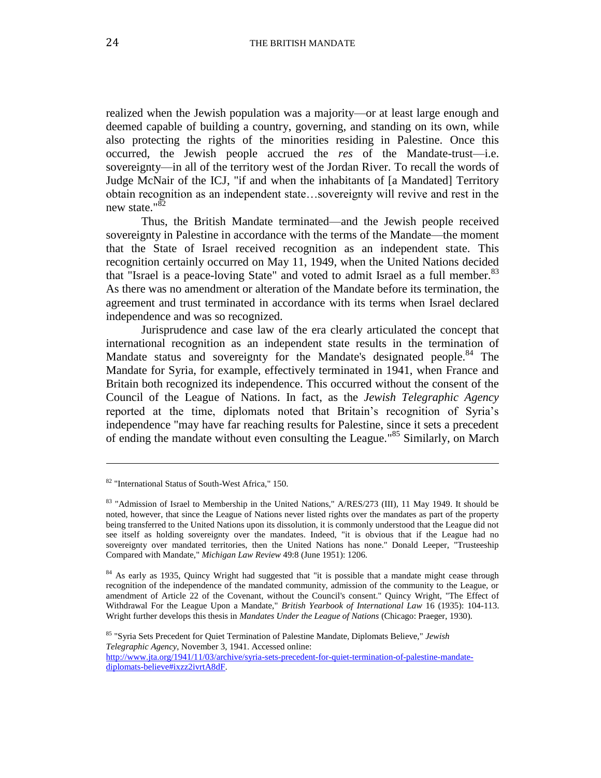realized when the Jewish population was a majority—or at least large enough and deemed capable of building a country, governing, and standing on its own, while also protecting the rights of the minorities residing in Palestine. Once this occurred, the Jewish people accrued the *res* of the Mandate-trust—i.e. sovereignty—in all of the territory west of the Jordan River. To recall the words of Judge McNair of the ICJ, "if and when the inhabitants of [a Mandated] Territory obtain recognition as an independent state…sovereignty will revive and rest in the new state."<sup>82</sup>

Thus, the British Mandate terminated—and the Jewish people received sovereignty in Palestine in accordance with the terms of the Mandate—the moment that the State of Israel received recognition as an independent state. This recognition certainly occurred on May 11, 1949, when the United Nations decided that "Israel is a peace-loving State" and voted to admit Israel as a full member.<sup>83</sup> As there was no amendment or alteration of the Mandate before its termination, the agreement and trust terminated in accordance with its terms when Israel declared independence and was so recognized.

Jurisprudence and case law of the era clearly articulated the concept that international recognition as an independent state results in the termination of Mandate status and sovereignty for the Mandate's designated people.<sup>84</sup> The Mandate for Syria, for example, effectively terminated in 1941, when France and Britain both recognized its independence. This occurred without the consent of the Council of the League of Nations. In fact, as the *Jewish Telegraphic Agency*  reported at the time, diplomats noted that Britain's recognition of Syria's independence "may have far reaching results for Palestine, since it sets a precedent of ending the mandate without even consulting the League."<sup>85</sup> Similarly, on March

 $\overline{\phantom{a}}$ 

<sup>82</sup> "International Status of South-West Africa," 150.

 $83$  "Admission of Israel to Membership in the United Nations," A/RES/273 (III), 11 May 1949. It should be noted, however, that since the League of Nations never listed rights over the mandates as part of the property being transferred to the United Nations upon its dissolution, it is commonly understood that the League did not see itself as holding sovereignty over the mandates. Indeed, "it is obvious that if the League had no sovereignty over mandated territories, then the United Nations has none." Donald Leeper, "Trusteeship Compared with Mandate," *Michigan Law Review* 49:8 (June 1951): 1206.

<sup>&</sup>lt;sup>84</sup> As early as 1935, Quincy Wright had suggested that "it is possible that a mandate might cease through recognition of the independence of the mandated community, admission of the community to the League, or amendment of Article 22 of the Covenant, without the Council's consent." Quincy Wright, "The Effect of Withdrawal For the League Upon a Mandate," *British Yearbook of International Law* 16 (1935): 104-113. Wright further develops this thesis in *Mandates Under the League of Nations* (Chicago: Praeger, 1930).

<sup>85</sup> "Syria Sets Precedent for Quiet Termination of Palestine Mandate, Diplomats Believe," *Jewish Telegraphic Agency*, November 3, 1941. Accessed online: [http://www.jta.org/1941/11/03/archive/syria-sets-precedent-for-quiet-termination-of-palestine-mandate](http://www.jta.org/1941/11/03/archive/syria-sets-precedent-for-quiet-termination-of-palestine-mandate-diplomats-believe%23ixzz2ivrtA8dF)[diplomats-believe#ixzz2ivrtA8dF.](http://www.jta.org/1941/11/03/archive/syria-sets-precedent-for-quiet-termination-of-palestine-mandate-diplomats-believe%23ixzz2ivrtA8dF)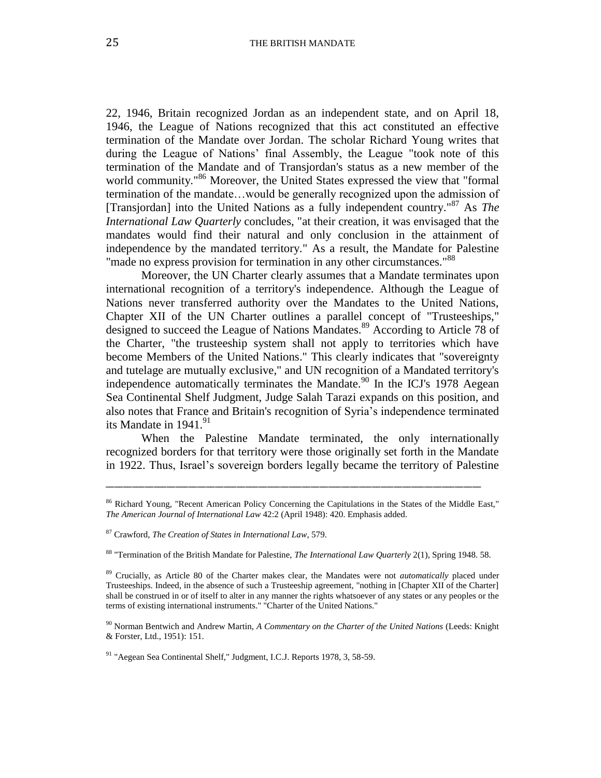22, 1946, Britain recognized Jordan as an independent state, and on April 18, 1946, the League of Nations recognized that this act constituted an effective termination of the Mandate over Jordan. The scholar Richard Young writes that during the League of Nations' final Assembly, the League "took note of this termination of the Mandate and of Transjordan's status as a new member of the world community."<sup>86</sup> Moreover, the United States expressed the view that "formal termination of the mandate…would be generally recognized upon the admission of [Transjordan] into the United Nations as a fully independent country." <sup>87</sup> As *The International Law Quarterly* concludes, "at their creation, it was envisaged that the mandates would find their natural and only conclusion in the attainment of independence by the mandated territory." As a result, the Mandate for Palestine "made no express provision for termination in any other circumstances."<sup>88</sup>

Moreover, the UN Charter clearly assumes that a Mandate terminates upon international recognition of a territory's independence. Although the League of Nations never transferred authority over the Mandates to the United Nations, Chapter XII of the UN Charter outlines a parallel concept of "Trusteeships," designed to succeed the League of Nations Mandates.<sup>89</sup> According to Article 78 of the Charter, "the trusteeship system shall not apply to territories which have become Members of the United Nations." This clearly indicates that "sovereignty and tutelage are mutually exclusive," and UN recognition of a Mandated territory's independence automatically terminates the Mandate.<sup>90</sup> In the ICJ's 1978 Aegean Sea Continental Shelf Judgment, Judge Salah Tarazi expands on this position, and also notes that France and Britain's recognition of Syria's independence terminated its Mandate in  $1941.<sup>91</sup>$ 

When the Palestine Mandate terminated, the only internationally recognized borders for that territory were those originally set forth in the Mandate in 1922. Thus, Israel's sovereign borders legally became the territory of Palestine

<sup>&</sup>lt;sup>86</sup> Richard Young, "Recent American Policy Concerning the Capitulations in the States of the Middle East," *The American Journal of International Law* 42:2 (April 1948): 420. Emphasis added.

<sup>87</sup> Crawford, *The Creation of States in International Law*, 579.

<sup>88</sup> "Termination of the British Mandate for Palestine, *The International Law Quarterly* 2(1), Spring 1948. 58.

<sup>89</sup> Crucially, as Article 80 of the Charter makes clear, the Mandates were not *automatically* placed under Trusteeships. Indeed, in the absence of such a Trusteeship agreement, "nothing in [Chapter XII of the Charter] shall be construed in or of itself to alter in any manner the rights whatsoever of any states or any peoples or the terms of existing international instruments." "Charter of the United Nations."

<sup>90</sup> Norman Bentwich and Andrew Martin, *A Commentary on the Charter of the United Nations* (Leeds: Knight & Forster, Ltd., 1951): 151.

 $91$  "Aegean Sea Continental Shelf," Judgment, I.C.J. Reports 1978, 3, 58-59.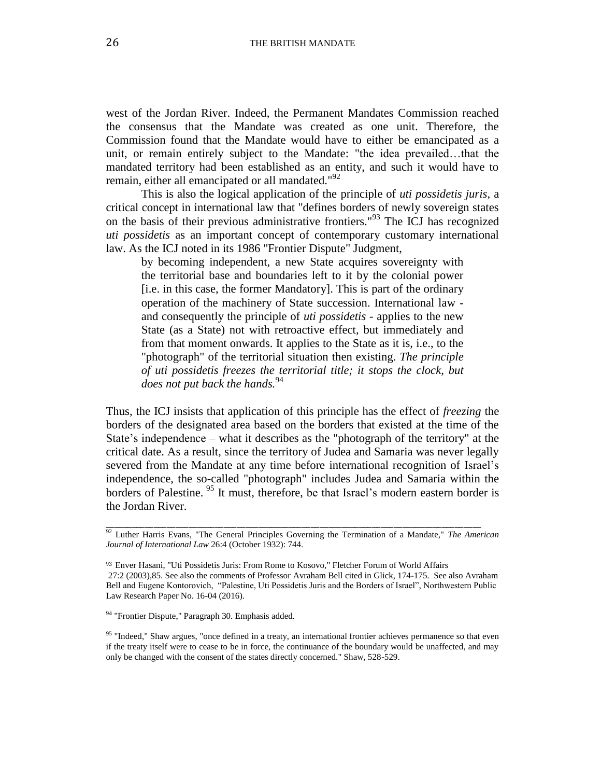west of the Jordan River. Indeed, the Permanent Mandates Commission reached the consensus that the Mandate was created as one unit. Therefore, the Commission found that the Mandate would have to either be emancipated as a unit, or remain entirely subject to the Mandate: "the idea prevailed…that the mandated territory had been established as an entity, and such it would have to remain, either all emancipated or all mandated."<sup>92</sup>

This is also the logical application of the principle of *uti possidetis juris*, a critical concept in international law that "defines borders of newly sovereign states on the basis of their previous administrative frontiers." <sup>93</sup> The ICJ has recognized *uti possidetis* as an important concept of contemporary customary international law. As the ICJ noted in its 1986 "Frontier Dispute" Judgment,

by becoming independent, a new State acquires sovereignty with the territorial base and boundaries left to it by the colonial power [i.e. in this case, the former Mandatory]. This is part of the ordinary operation of the machinery of State succession. International law and consequently the principle of *uti possidetis* - applies to the new State (as a State) not with retroactive effect, but immediately and from that moment onwards. It applies to the State as it is, i.e., to the "photograph" of the territorial situation then existing. *The principle of uti possidetis freezes the territorial title; it stops the clock, but does not put back the hands.*<sup>94</sup>

Thus, the ICJ insists that application of this principle has the effect of *freezing* the borders of the designated area based on the borders that existed at the time of the State's independence – what it describes as the "photograph of the territory" at the critical date. As a result, since the territory of Judea and Samaria was never legally severed from the Mandate at any time before international recognition of Israel's independence, the so-called "photograph" includes Judea and Samaria within the borders of Palestine.<sup>95</sup> It must, therefore, be that Israel's modern eastern border is the Jordan River.

\_\_\_\_\_\_\_\_\_\_\_\_\_\_\_\_\_\_\_\_\_\_\_\_\_\_\_\_\_\_\_\_\_\_\_\_\_\_\_\_\_\_\_\_\_\_\_\_\_\_\_\_\_\_\_\_\_\_\_\_\_\_\_\_\_\_\_\_\_\_\_\_\_\_\_\_\_\_\_\_\_\_\_\_\_\_

<sup>94</sup> "Frontier Dispute," Paragraph 30. Emphasis added.

<sup>95</sup> "Indeed," Shaw argues, "once defined in a treaty, an international frontier achieves permanence so that even if the treaty itself were to cease to be in force, the continuance of the boundary would be unaffected, and may only be changed with the consent of the states directly concerned." Shaw, 528-529.

<sup>92</sup> Luther Harris Evans, "The General Principles Governing the Termination of a Mandate," *The American Journal of International Law* 26:4 (October 1932): 744.

<sup>93</sup> Enver Hasani, "Uti Possidetis Juris: From Rome to Kosovo," Fletcher Forum of World Affairs 27:2 (2003),85. See also the comments of Professor Avraham Bell cited in Glick, 174-175. See also Avraham Bell and Eugene Kontorovich, "Palestine, Uti Possidetis Juris and the Borders of Israel", Northwestern Public Law Research Paper No. 16-04 (2016).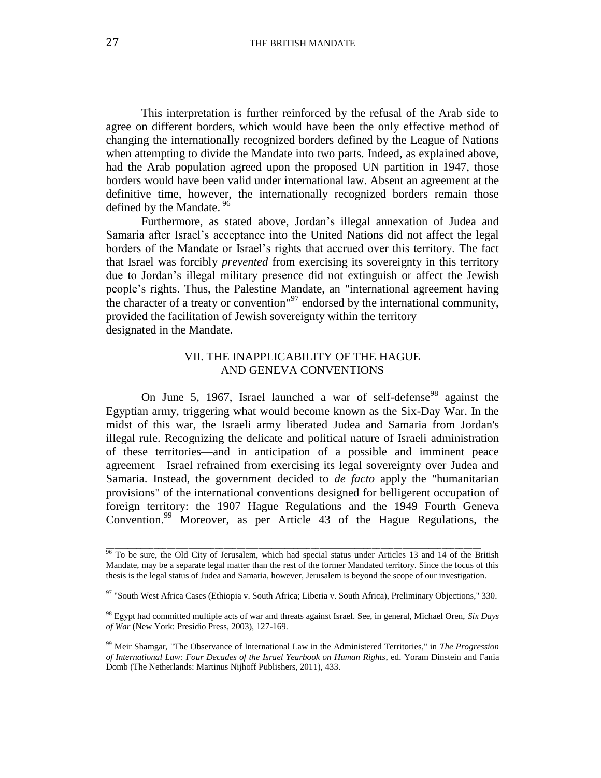This interpretation is further reinforced by the refusal of the Arab side to agree on different borders, which would have been the only effective method of changing the internationally recognized borders defined by the League of Nations when attempting to divide the Mandate into two parts. Indeed, as explained above, had the Arab population agreed upon the proposed UN partition in 1947, those borders would have been valid under international law. Absent an agreement at the definitive time, however, the internationally recognized borders remain those defined by the Mandate. <sup>96</sup>

Furthermore, as stated above, Jordan's illegal annexation of Judea and Samaria after Israel's acceptance into the United Nations did not affect the legal borders of the Mandate or Israel's rights that accrued over this territory. The fact that Israel was forcibly *prevented* from exercising its sovereignty in this territory due to Jordan's illegal military presence did not extinguish or affect the Jewish people's rights. Thus, the Palestine Mandate, an "international agreement having the character of a treaty or convention"<sup>97</sup> endorsed by the international community, provided the facilitation of Jewish sovereignty within the territory designated in the Mandate.

#### VII. THE INAPPLICABILITY OF THE HAGUE AND GENEVA CONVENTIONS

On June 5, 1967, Israel launched a war of self-defense<sup>98</sup> against the Egyptian army, triggering what would become known as the Six-Day War. In the midst of this war, the Israeli army liberated Judea and Samaria from Jordan's illegal rule. Recognizing the delicate and political nature of Israeli administration of these territories—and in anticipation of a possible and imminent peace agreement—Israel refrained from exercising its legal sovereignty over Judea and Samaria. Instead, the government decided to *de facto* apply the "humanitarian provisions" of the international conventions designed for belligerent occupation of foreign territory: the 1907 Hague Regulations and the 1949 Fourth Geneva Convention.<sup>99</sup> Moreover, as per Article 43 of the Hague Regulations, the

 $96$  To be sure, the Old City of Jerusalem, which had special status under Articles 13 and 14 of the British Mandate, may be a separate legal matter than the rest of the former Mandated territory. Since the focus of this thesis is the legal status of Judea and Samaria, however, Jerusalem is beyond the scope of our investigation.

<sup>97 &</sup>quot;South West Africa Cases (Ethiopia v. South Africa; Liberia v. South Africa), Preliminary Objections," 330.

<sup>98</sup> Egypt had committed multiple acts of war and threats against Israel. See, in general, Michael Oren, *Six Days of War* (New York: Presidio Press, 2003), 127-169.

<sup>99</sup> Meir Shamgar, "The Observance of International Law in the Administered Territories," in *The Progression of International Law: Four Decades of the Israel Yearbook on Human Rights*, ed. Yoram Dinstein and Fania Domb (The Netherlands: Martinus Nijhoff Publishers, 2011), 433.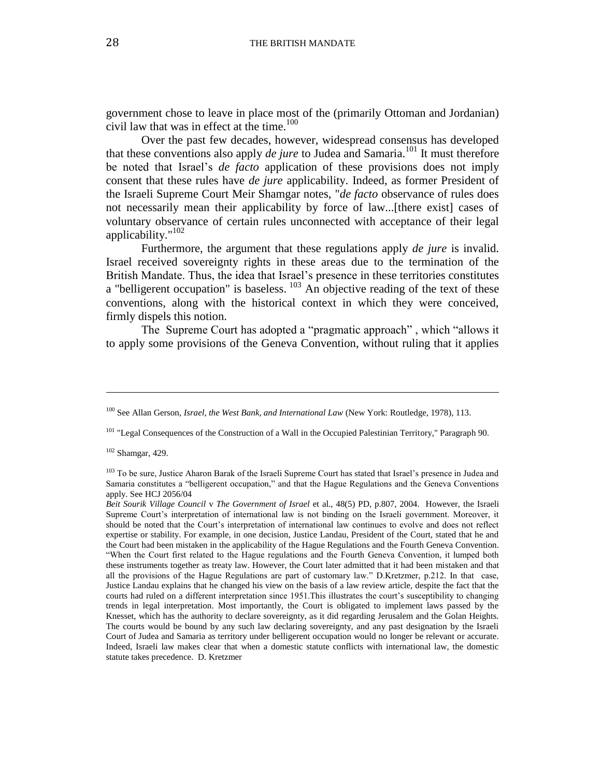government chose to leave in place most of the (primarily Ottoman and Jordanian) civil law that was in effect at the time. $100$ 

Over the past few decades, however, widespread consensus has developed that these conventions also apply *de jure* to Judea and Samaria.<sup>101</sup> It must therefore be noted that Israel's *de facto* application of these provisions does not imply consent that these rules have *de jure* applicability. Indeed, as former President of the Israeli Supreme Court Meir Shamgar notes, "*de facto* observance of rules does not necessarily mean their applicability by force of law...[there exist] cases of voluntary observance of certain rules unconnected with acceptance of their legal applicability."<sup>102</sup>

Furthermore, the argument that these regulations apply *de jure* is invalid. Israel received sovereignty rights in these areas due to the termination of the British Mandate. Thus, the idea that Israel's presence in these territories constitutes a "belligerent occupation" is baseless.  $103$  An objective reading of the text of these conventions, along with the historical context in which they were conceived, firmly dispels this notion.

The Supreme Court has adopted a "pragmatic approach" , which "allows it to apply some provisions of the Geneva Convention, without ruling that it applies

 $102$  Shamgar, 429.

l

<sup>100</sup> See Allan Gerson, *Israel, the West Bank, and International Law* (New York: Routledge, 1978), 113.

<sup>&</sup>lt;sup>101</sup> "Legal Consequences of the Construction of a Wall in the Occupied Palestinian Territory," Paragraph 90.

<sup>&</sup>lt;sup>103</sup> To be sure, Justice Aharon Barak of the Israeli Supreme Court has stated that Israel's presence in Judea and Samaria constitutes a "belligerent occupation," and that the Hague Regulations and the Geneva Conventions apply. See HCJ 2056/04

*Beit Sourik Village Council* v *The Government of Israel* et al., 48(5) PD, p.807, 2004. However, the Israeli Supreme Court's interpretation of international law is not binding on the Israeli government. Moreover, it should be noted that the Court's interpretation of international law continues to evolve and does not reflect expertise or stability. For example, in one decision, Justice Landau, President of the Court, stated that he and the Court had been mistaken in the applicability of the Hague Regulations and the Fourth Geneva Convention. "When the Court first related to the Hague regulations and the Fourth Geneva Convention, it lumped both these instruments together as treaty law. However, the Court later admitted that it had been mistaken and that all the provisions of the Hague Regulations are part of customary law." D.Kretzmer, p.212. In that case, Justice Landau explains that he changed his view on the basis of a law review article, despite the fact that the courts had ruled on a different interpretation since 1951.This illustrates the court's susceptibility to changing trends in legal interpretation. Most importantly, the Court is obligated to implement laws passed by the Knesset, which has the authority to declare sovereignty, as it did regarding Jerusalem and the Golan Heights. The courts would be bound by any such law declaring sovereignty, and any past designation by the Israeli Court of Judea and Samaria as territory under belligerent occupation would no longer be relevant or accurate. Indeed, Israeli law makes clear that when a domestic statute conflicts with international law, the domestic statute takes precedence. D. Kretzmer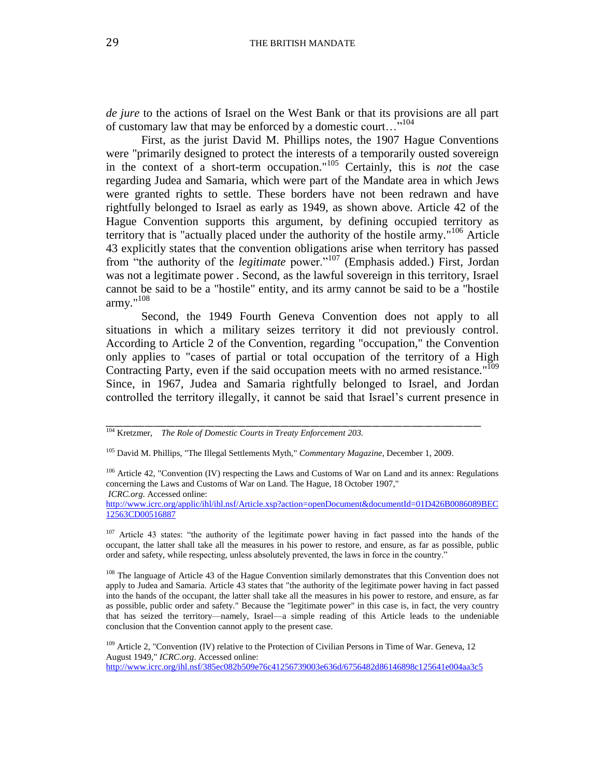*de jure* to the actions of Israel on the West Bank or that its provisions are all part of customary law that may be enforced by a domestic court…"<sup>104</sup>

First, as the jurist David M. Phillips notes, the 1907 Hague Conventions were "primarily designed to protect the interests of a temporarily ousted sovereign in the context of a short-term occupation." <sup>105</sup> Certainly, this is *not* the case regarding Judea and Samaria, which were part of the Mandate area in which Jews were granted rights to settle. These borders have not been redrawn and have rightfully belonged to Israel as early as 1949, as shown above. Article 42 of the Hague Convention supports this argument, by defining occupied territory as territory that is "actually placed under the authority of the hostile army." <sup>106</sup> Article 43 explicitly states that the convention obligations arise when territory has passed from "the authority of the *legitimate* power."<sup>107</sup> (Emphasis added.) First, Jordan was not a legitimate power . Second, as the lawful sovereign in this territory, Israel cannot be said to be a "hostile" entity, and its army cannot be said to be a "hostile army." 108

Second, the 1949 Fourth Geneva Convention does not apply to all situations in which a military seizes territory it did not previously control. According to Article 2 of the Convention, regarding "occupation," the Convention only applies to "cases of partial or total occupation of the territory of a High Contracting Party, even if the said occupation meets with no armed resistance."<sup>109</sup> Since, in 1967, Judea and Samaria rightfully belonged to Israel, and Jordan controlled the territory illegally, it cannot be said that Israel's current presence in

\_\_\_\_\_\_\_\_\_\_\_\_\_\_\_\_\_\_\_\_\_\_\_\_\_\_\_\_\_\_\_\_\_\_\_\_\_\_\_\_\_\_\_\_\_\_\_\_\_\_\_\_\_\_\_\_\_\_\_\_\_\_\_\_\_\_\_\_\_\_\_\_\_\_\_\_\_\_\_\_\_\_\_\_\_\_

*ICRC.org*. Accessed online:

<sup>104</sup> Kretzmer, *The Role of Domestic Courts in Treaty Enforcement 203.*

<sup>105</sup> David M. Phillips, "The Illegal Settlements Myth," *Commentary Magazine*, December 1, 2009.

<sup>&</sup>lt;sup>106</sup> Article 42, "Convention (IV) respecting the Laws and Customs of War on Land and its annex: Regulations concerning the Laws and Customs of War on Land. The Hague, 18 October 1907,"

[http://www.icrc.org/applic/ihl/ihl.nsf/Article.xsp?action=openDocument&documentId=01D426B0086089BEC](http://www.icrc.org/applic/ihl/ihl.nsf/Article.xsp?action=openDocument&documentId=01D426B0086089BEC12563CD00516887) [12563CD00516887](http://www.icrc.org/applic/ihl/ihl.nsf/Article.xsp?action=openDocument&documentId=01D426B0086089BEC12563CD00516887)

<sup>&</sup>lt;sup>107</sup> Article 43 states: "the authority of the legitimate power having in fact passed into the hands of the occupant, the latter shall take all the measures in his power to restore, and ensure, as far as possible, public order and safety, while respecting, unless absolutely prevented, the laws in force in the country."

<sup>&</sup>lt;sup>108</sup> The language of Article 43 of the Hague Convention similarly demonstrates that this Convention does not apply to Judea and Samaria. Article 43 states that "the authority of the legitimate power having in fact passed into the hands of the occupant, the latter shall take all the measures in his power to restore, and ensure, as far as possible, public order and safety." Because the "legitimate power" in this case is, in fact, the very country that has seized the territory—namely, Israel—a simple reading of this Article leads to the undeniable conclusion that the Convention cannot apply to the present case.

<sup>&</sup>lt;sup>109</sup> Article 2, "Convention (IV) relative to the Protection of Civilian Persons in Time of War. Geneva, 12 August 1949," *ICRC.org*. Accessed online: <http://www.icrc.org/ihl.nsf/385ec082b509e76c41256739003e636d/6756482d86146898c125641e004aa3c5>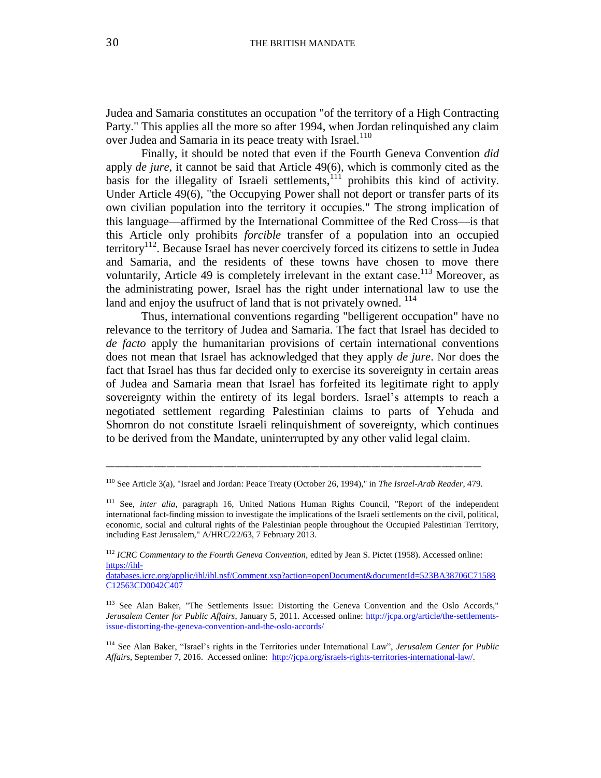Judea and Samaria constitutes an occupation "of the territory of a High Contracting Party." This applies all the more so after 1994, when Jordan relinquished any claim over Judea and Samaria in its peace treaty with Israel.<sup>110</sup>

Finally, it should be noted that even if the Fourth Geneva Convention *did* apply *de jure*, it cannot be said that Article 49(6), which is commonly cited as the basis for the illegality of Israeli settlements, $111$  prohibits this kind of activity. Under Article 49(6), "the Occupying Power shall not deport or transfer parts of its own civilian population into the territory it occupies." The strong implication of this language—affirmed by the International Committee of the Red Cross—is that this Article only prohibits *forcible* transfer of a population into an occupied territory<sup>112</sup>. Because Israel has never coercively forced its citizens to settle in Judea and Samaria, and the residents of these towns have chosen to move there voluntarily, Article 49 is completely irrelevant in the extant case.<sup>113</sup> Moreover, as the administrating power, Israel has the right under international law to use the land and enjoy the usufruct of land that is not privately owned.  $114$ 

Thus, international conventions regarding "belligerent occupation" have no relevance to the territory of Judea and Samaria. The fact that Israel has decided to *de facto* apply the humanitarian provisions of certain international conventions does not mean that Israel has acknowledged that they apply *de jure*. Nor does the fact that Israel has thus far decided only to exercise its sovereignty in certain areas of Judea and Samaria mean that Israel has forfeited its legitimate right to apply sovereignty within the entirety of its legal borders. Israel's attempts to reach a negotiated settlement regarding Palestinian claims to parts of Yehuda and Shomron do not constitute Israeli relinquishment of sovereignty, which continues to be derived from the Mandate, uninterrupted by any other valid legal claim.

<sup>110</sup> See Article 3(a), "Israel and Jordan: Peace Treaty (October 26, 1994)," in *The Israel-Arab Reader*, 479.

<sup>111</sup> See, *inter alia*, paragraph 16, United Nations Human Rights Council, "Report of the independent international fact-finding mission to investigate the implications of the Israeli settlements on the civil, political, economic, social and cultural rights of the Palestinian people throughout the Occupied Palestinian Territory, including East Jerusalem," A/HRC/22/63, 7 February 2013.

<sup>112</sup> *ICRC Commentary to the Fourth Geneva Convention,* edited by Jean S. Pictet (1958). Accessed online: [https://ihl-](https://ihl-databases.icrc.org/applic/ihl/ihl.nsf/Comment.xsp?action=openDocument&documentId=523BA38706C71588C12563CD0042C407)

[databases.icrc.org/applic/ihl/ihl.nsf/Comment.xsp?action=openDocument&documentId=523BA38706C71588](https://ihl-databases.icrc.org/applic/ihl/ihl.nsf/Comment.xsp?action=openDocument&documentId=523BA38706C71588C12563CD0042C407) [C12563CD0042C407](https://ihl-databases.icrc.org/applic/ihl/ihl.nsf/Comment.xsp?action=openDocument&documentId=523BA38706C71588C12563CD0042C407)

<sup>&</sup>lt;sup>113</sup> See Alan Baker, "The Settlements Issue: Distorting the Geneva Convention and the Oslo Accords," *Jerusalem Center for Public Affairs*, January 5, 2011. Accessed online: [http://jcpa.org/article/the-settlements](http://jcpa.org/article/the-settlements-issue-distorting-the-geneva-convention-and-the-oslo-accords/)[issue-distorting-the-geneva-convention-and-the-oslo-accords/](http://jcpa.org/article/the-settlements-issue-distorting-the-geneva-convention-and-the-oslo-accords/)

<sup>114</sup> See Alan Baker, "Israel's rights in the Territories under International Law", *Jerusalem Center for Public Affairs,* September 7, 2016. Accessed online: [http://jcpa.org/israels-rights-territories-international-law/.](http://jcpa.org/israels-rights-territories-international-law/)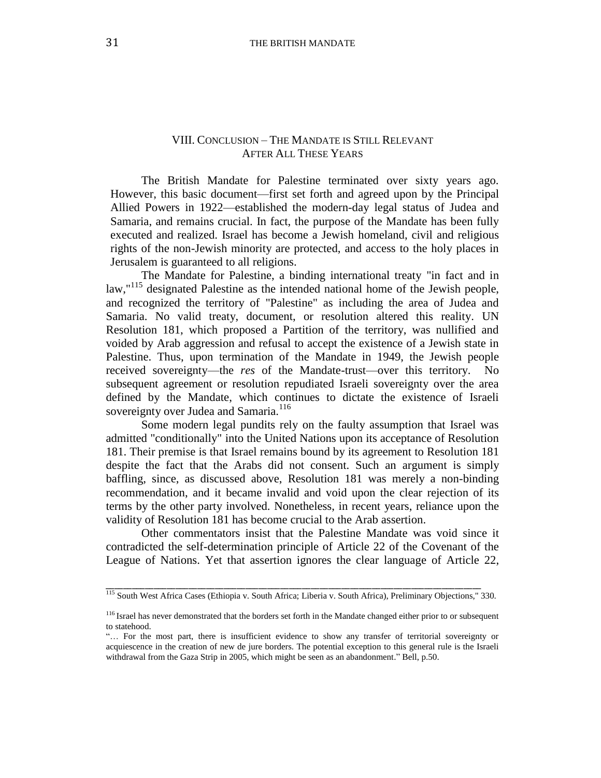## VIII. CONCLUSION – THE MANDATE IS STILL RELEVANT AFTER ALL THESE YEARS

The British Mandate for Palestine terminated over sixty years ago. However, this basic document—first set forth and agreed upon by the Principal Allied Powers in 1922—established the modern-day legal status of Judea and Samaria, and remains crucial. In fact, the purpose of the Mandate has been fully executed and realized. Israel has become a Jewish homeland, civil and religious rights of the non-Jewish minority are protected, and access to the holy places in Jerusalem is guaranteed to all religions.

The Mandate for Palestine, a binding international treaty "in fact and in law,"<sup>115</sup> designated Palestine as the intended national home of the Jewish people, and recognized the territory of "Palestine" as including the area of Judea and Samaria. No valid treaty, document, or resolution altered this reality. UN Resolution 181, which proposed a Partition of the territory, was nullified and voided by Arab aggression and refusal to accept the existence of a Jewish state in Palestine. Thus, upon termination of the Mandate in 1949, the Jewish people received sovereignty—the *res* of the Mandate-trust—over this territory. No subsequent agreement or resolution repudiated Israeli sovereignty over the area defined by the Mandate, which continues to dictate the existence of Israeli sovereignty over Judea and Samaria.<sup>116</sup>

Some modern legal pundits rely on the faulty assumption that Israel was admitted "conditionally" into the United Nations upon its acceptance of Resolution 181. Their premise is that Israel remains bound by its agreement to Resolution 181 despite the fact that the Arabs did not consent. Such an argument is simply baffling, since, as discussed above, Resolution 181 was merely a non-binding recommendation, and it became invalid and void upon the clear rejection of its terms by the other party involved. Nonetheless, in recent years, reliance upon the validity of Resolution 181 has become crucial to the Arab assertion.

Other commentators insist that the Palestine Mandate was void since it contradicted the self-determination principle of Article 22 of the Covenant of the League of Nations. Yet that assertion ignores the clear language of Article 22,

\_\_\_\_\_\_\_\_\_\_\_\_\_\_\_\_\_\_\_\_\_\_\_\_\_\_\_\_\_\_\_\_\_\_\_\_\_\_\_\_\_\_\_\_\_\_\_\_\_\_\_\_\_\_\_\_\_\_\_\_\_\_\_\_\_\_\_\_\_\_\_\_\_\_\_\_\_\_\_\_\_\_\_\_\_\_ <sup>115</sup> South West Africa Cases (Ethiopia v. South Africa; Liberia v. South Africa), Preliminary Objections," 330.

<sup>&</sup>lt;sup>116</sup> Israel has never demonstrated that the borders set forth in the Mandate changed either prior to or subsequent to statehood.

<sup>&</sup>quot;… For the most part, there is insufficient evidence to show any transfer of territorial sovereignty or acquiescence in the creation of new de jure borders. The potential exception to this general rule is the Israeli withdrawal from the Gaza Strip in 2005, which might be seen as an abandonment." Bell, p.50.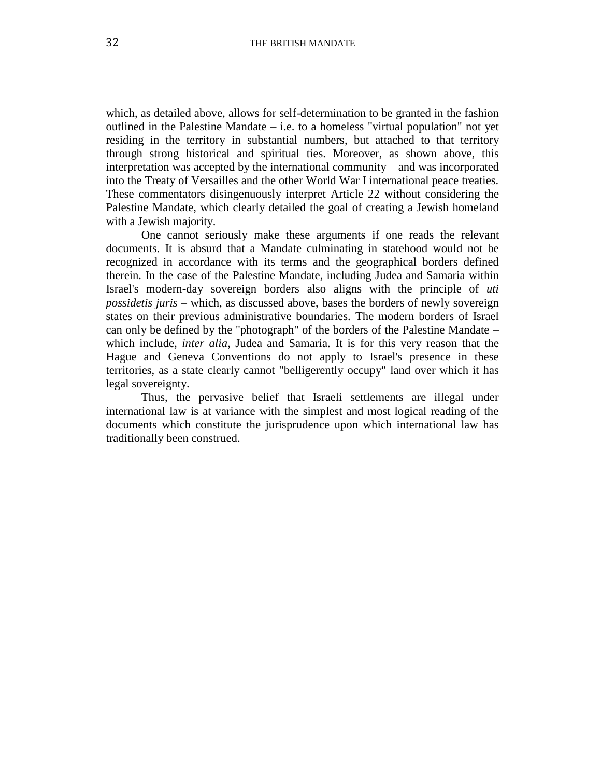which, as detailed above, allows for self-determination to be granted in the fashion outlined in the Palestine Mandate  $-$  i.e. to a homeless "virtual population" not yet residing in the territory in substantial numbers, but attached to that territory through strong historical and spiritual ties. Moreover, as shown above, this interpretation was accepted by the international community – and was incorporated into the Treaty of Versailles and the other World War I international peace treaties. These commentators disingenuously interpret Article 22 without considering the Palestine Mandate, which clearly detailed the goal of creating a Jewish homeland with a Jewish majority.

One cannot seriously make these arguments if one reads the relevant documents. It is absurd that a Mandate culminating in statehood would not be recognized in accordance with its terms and the geographical borders defined therein. In the case of the Palestine Mandate, including Judea and Samaria within Israel's modern-day sovereign borders also aligns with the principle of *uti possidetis juris* – which, as discussed above, bases the borders of newly sovereign states on their previous administrative boundaries. The modern borders of Israel can only be defined by the "photograph" of the borders of the Palestine Mandate – which include, *inter alia*, Judea and Samaria. It is for this very reason that the Hague and Geneva Conventions do not apply to Israel's presence in these territories, as a state clearly cannot "belligerently occupy" land over which it has legal sovereignty.

Thus, the pervasive belief that Israeli settlements are illegal under international law is at variance with the simplest and most logical reading of the documents which constitute the jurisprudence upon which international law has traditionally been construed.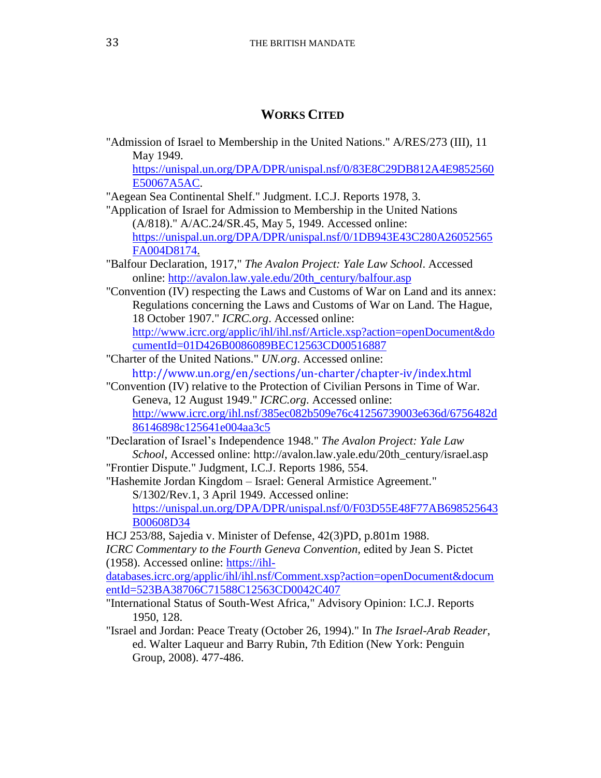## **WORKS CITED**

"Admission of Israel to Membership in the United Nations." A/RES/273 (III), 11 May 1949.

[https://unispal.un.org/DPA/DPR/unispal.nsf/0/83E8C29DB812A4E9852560](https://unispal.un.org/DPA/DPR/unispal.nsf/0/83E8C29DB812A4E9852560E50067A5AC) [E50067A5AC.](https://unispal.un.org/DPA/DPR/unispal.nsf/0/83E8C29DB812A4E9852560E50067A5AC)

"Aegean Sea Continental Shelf." Judgment. I.C.J. Reports 1978, 3.

"Application of Israel for Admission to Membership in the United Nations (A/818)." A/AC.24/SR.45, May 5, 1949. Accessed online: [https://unispal.un.org/DPA/DPR/unispal.nsf/0/1DB943E43C280A26052565](https://unispal.un.org/DPA/DPR/unispal.nsf/0/1DB943E43C280A26052565FA004D8174) [FA004D8174.](https://unispal.un.org/DPA/DPR/unispal.nsf/0/1DB943E43C280A26052565FA004D8174)

"Balfour Declaration, 1917," *The Avalon Project: Yale Law School*. Accessed online: [http://avalon.law.yale.edu/20th\\_century/balfour.asp](http://avalon.law.yale.edu/20th_century/balfour.asp)

"Convention (IV) respecting the Laws and Customs of War on Land and its annex: Regulations concerning the Laws and Customs of War on Land. The Hague, 18 October 1907." *ICRC.org*. Accessed online: [http://www.icrc.org/applic/ihl/ihl.nsf/Article.xsp?action=openDocument&do](http://www.icrc.org/applic/ihl/ihl.nsf/Article.xsp?action=openDocument&documentId=01D426B0086089BEC12563CD00516887) [cumentId=01D426B0086089BEC12563CD00516887](http://www.icrc.org/applic/ihl/ihl.nsf/Article.xsp?action=openDocument&documentId=01D426B0086089BEC12563CD00516887)

- "Charter of the United Nations." *UN.org*. Accessed online: <http://www.un.org/en/sections/un-charter/chapter-iv/index.html>
- "Convention (IV) relative to the Protection of Civilian Persons in Time of War. Geneva, 12 August 1949." *ICRC.org*. Accessed online: [http://www.icrc.org/ihl.nsf/385ec082b509e76c41256739003e636d/6756482d](http://www.icrc.org/ihl.nsf/385ec082b509e76c41256739003e636d/6756482d86146898c125641e004aa3c5) [86146898c125641e004aa3c5](http://www.icrc.org/ihl.nsf/385ec082b509e76c41256739003e636d/6756482d86146898c125641e004aa3c5)

"Declaration of Israel's Independence 1948." *The Avalon Project: Yale Law School*, Accessed online: [http://avalon.law.yale.edu/20th\\_century/israel.asp](http://avalon.law.yale.edu/20th_century/israel.asp)

"Frontier Dispute." Judgment, I.C.J. Reports 1986, 554. "Hashemite Jordan Kingdom – Israel: General Armistice Agreement." S/1302/Rev.1, 3 April 1949. Accessed online:

[https://unispal.un.org/DPA/DPR/unispal.nsf/0/F03D55E48F77AB698525643](https://unispal.un.org/DPA/DPR/unispal.nsf/0/F03D55E48F77AB698525643B00608D34) [B00608D34](https://unispal.un.org/DPA/DPR/unispal.nsf/0/F03D55E48F77AB698525643B00608D34)

HCJ 253/88, Sajedia v. Minister of Defense, 42(3)PD, p.801m 1988.

*ICRC Commentary to the Fourth Geneva Convention,* edited by Jean S. Pictet (1958). Accessed online: [https://ihl-](https://ihl-databases.icrc.org/applic/ihl/ihl.nsf/Comment.xsp?action=openDocument&documentId=523BA38706C71588C12563CD0042C407)

[databases.icrc.org/applic/ihl/ihl.nsf/Comment.xsp?action=openDocument&docum](https://ihl-databases.icrc.org/applic/ihl/ihl.nsf/Comment.xsp?action=openDocument&documentId=523BA38706C71588C12563CD0042C407) [entId=523BA38706C71588C12563CD0042C407](https://ihl-databases.icrc.org/applic/ihl/ihl.nsf/Comment.xsp?action=openDocument&documentId=523BA38706C71588C12563CD0042C407)

"International Status of South-West Africa," Advisory Opinion: I.C.J. Reports 1950, 128.

"Israel and Jordan: Peace Treaty (October 26, 1994)." In *The Israel-Arab Reader*, ed. Walter Laqueur and Barry Rubin, 7th Edition (New York: Penguin Group, 2008). 477-486.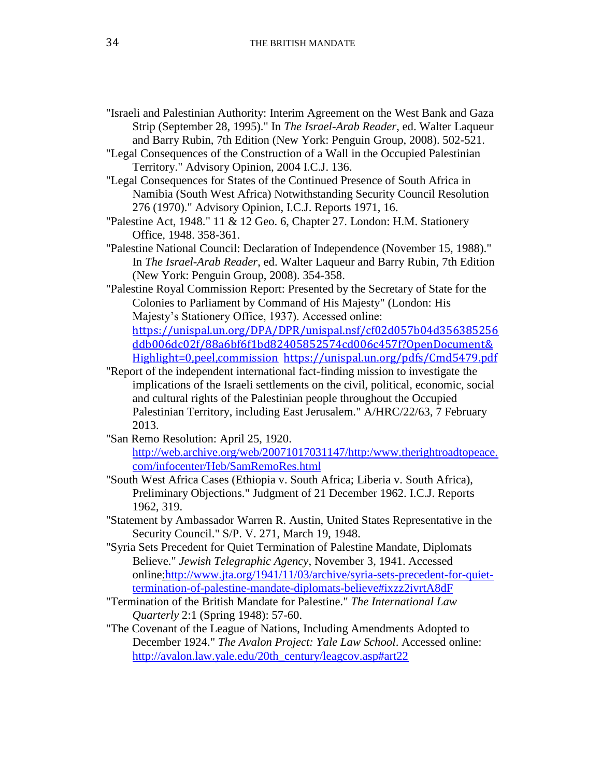- "Israeli and Palestinian Authority: Interim Agreement on the West Bank and Gaza Strip (September 28, 1995)." In *The Israel-Arab Reader*, ed. Walter Laqueur and Barry Rubin, 7th Edition (New York: Penguin Group, 2008). 502-521.
- "Legal Consequences of the Construction of a Wall in the Occupied Palestinian Territory." Advisory Opinion, 2004 I.C.J. 136.
- "Legal Consequences for States of the Continued Presence of South Africa in Namibia (South West Africa) Notwithstanding Security Council Resolution 276 (1970)." Advisory Opinion, I.C.J. Reports 1971, 16.
- "Palestine Act, 1948." 11 & 12 Geo. 6, Chapter 27. London: H.M. Stationery Office, 1948. 358-361.
- "Palestine National Council: Declaration of Independence (November 15, 1988)." In *The Israel-Arab Reader*, ed. Walter Laqueur and Barry Rubin, 7th Edition (New York: Penguin Group, 2008). 354-358.
- "Palestine Royal Commission Report: Presented by the Secretary of State for the Colonies to Parliament by Command of His Majesty" (London: His Majesty's Stationery Office, 1937). Accessed online:

[https://unispal.un.org/DPA/DPR/unispal.nsf/cf02d057b04d356385256](https://unispal.un.org/DPA/DPR/unispal.nsf/cf02d057b04d356385256ddb006dc02f/88a6bf6f1bd82405852574cd006c457f?OpenDocument&Highlight=0,peel,commission) [ddb006dc02f/88a6bf6f1bd82405852574cd006c457f?OpenDocument&](https://unispal.un.org/DPA/DPR/unispal.nsf/cf02d057b04d356385256ddb006dc02f/88a6bf6f1bd82405852574cd006c457f?OpenDocument&Highlight=0,peel,commission) [Highlight=0,peel,commission](https://unispal.un.org/DPA/DPR/unispal.nsf/cf02d057b04d356385256ddb006dc02f/88a6bf6f1bd82405852574cd006c457f?OpenDocument&Highlight=0,peel,commission) <https://unispal.un.org/pdfs/Cmd5479.pdf>

- "Report of the independent international fact-finding mission to investigate the implications of the Israeli settlements on the civil, political, economic, social and cultural rights of the Palestinian people throughout the Occupied Palestinian Territory, including East Jerusalem." A/HRC/22/63, 7 February 2013.
- "San Remo Resolution: April 25, 1920. [http://web.archive.org/web/20071017031147/http:/www.therightroadtopeace.](http://web.archive.org/web/20071017031147/http:/www.therightroadtopeace.com/infocenter/Heb/SamRemoRes.html) [com/infocenter/Heb/SamRemoRes.html](http://web.archive.org/web/20071017031147/http:/www.therightroadtopeace.com/infocenter/Heb/SamRemoRes.html)
- "South West Africa Cases (Ethiopia v. South Africa; Liberia v. South Africa), Preliminary Objections." Judgment of 21 December 1962. I.C.J. Reports 1962, 319.
- "Statement by Ambassador Warren R. Austin, United States Representative in the Security Council." S/P. V. 271, March 19, 1948.
- "Syria Sets Precedent for Quiet Termination of Palestine Mandate, Diplomats Believe." *Jewish Telegraphic Agency*, November 3, 1941. Accessed onlin[e:http://www.jta.org/1941/11/03/archive/syria-sets-precedent-for-quiet](file:///C:/Users/Ksd/AppData/Local/Temp/:%20http:/www.jta.org/1941/11/03/archive/syria-sets-precedent-for-quiet-termination-of-palestine-mandate-diplomats-believe%23ixzz2ivrtA8dF)[termination-of-palestine-mandate-diplomats-believe#ixzz2ivrtA8dF](file:///C:/Users/Ksd/AppData/Local/Temp/:%20http:/www.jta.org/1941/11/03/archive/syria-sets-precedent-for-quiet-termination-of-palestine-mandate-diplomats-believe%23ixzz2ivrtA8dF)
- "Termination of the British Mandate for Palestine." *The International Law Quarterly* 2:1 (Spring 1948): 57-60.
- "The Covenant of the League of Nations, Including Amendments Adopted to December 1924." *The Avalon Project: Yale Law School*. Accessed online: http://avalon.law.yale.edu/20th\_century/leagcov.asp#art22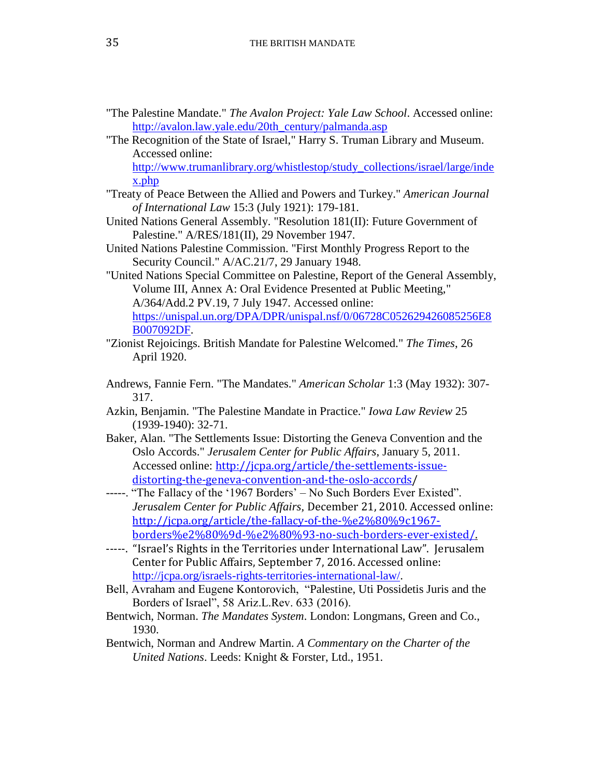- "The Palestine Mandate." *The Avalon Project: Yale Law School*. Accessed online: [http://avalon.law.yale.edu/20th\\_century/palmanda.asp](http://avalon.law.yale.edu/20th_century/palmanda.asp)
- "The Recognition of the State of Israel," Harry S. Truman Library and Museum. Accessed online:

[http://www.trumanlibrary.org/whistlestop/study\\_collections/israel/large/inde](http://www.trumanlibrary.org/whistlestop/study_collections/israel/large/index.php) [x.php](http://www.trumanlibrary.org/whistlestop/study_collections/israel/large/index.php)

- "Treaty of Peace Between the Allied and Powers and Turkey." *American Journal of International Law* 15:3 (July 1921): 179-181.
- United Nations General Assembly. "Resolution 181(II): Future Government of Palestine." A/RES/181(II), 29 November 1947.
- United Nations Palestine Commission. "First Monthly Progress Report to the Security Council." A/AC.21/7, 29 January 1948.
- "United Nations Special Committee on Palestine, Report of the General Assembly, Volume III, Annex A: Oral Evidence Presented at Public Meeting," A/364/Add.2 PV.19, 7 July 1947. Accessed online: [https://unispal.un.org/DPA/DPR/unispal.nsf/0/06728C052629426085256E8](https://unispal.un.org/DPA/DPR/unispal.nsf/0/06728C052629426085256E8B007092DF) [B007092DF.](https://unispal.un.org/DPA/DPR/unispal.nsf/0/06728C052629426085256E8B007092DF)
- "Zionist Rejoicings. British Mandate for Palestine Welcomed." *The Times*, 26 April 1920.
- Andrews, Fannie Fern. "The Mandates." *American Scholar* 1:3 (May 1932): 307- 317.
- Azkin, Benjamin. "The Palestine Mandate in Practice." *Iowa Law Review* 25 (1939-1940): 32-71.
- Baker, Alan. "The Settlements Issue: Distorting the Geneva Convention and the Oslo Accords." *Jerusalem Center for Public Affairs*, January 5, 2011. Accessed online: [http://jcpa.org/article/the-settlements-issue](http://jcpa.org/article/the-settlements-issue-distorting-the-geneva-convention-and-the-oslo-accords)[distorting-the-geneva-convention-and-the-oslo-accords/](http://jcpa.org/article/the-settlements-issue-distorting-the-geneva-convention-and-the-oslo-accords)
- -----. "The Fallacy of the '1967 Borders' No Such Borders Ever Existed". *Jerusalem Center for Public Affairs,* December 21, 2010. Accessed online: [http://jcpa.org/article/the-fallacy-of-the-%e2%80%9c1967](http://jcpa.org/article/the-fallacy-of-the-%e2%80%9c1967-borders%e2%80%9d-%e2%80%93-no-such-borders-ever-existed/) [borders%e2%80%9d-%e2%80%93-no-such-borders-ever-existed/.](http://jcpa.org/article/the-fallacy-of-the-%e2%80%9c1967-borders%e2%80%9d-%e2%80%93-no-such-borders-ever-existed/)
- -----. "Israel's Rights in the Territories under International Law". Jerusalem Center for Public Affairs, September 7, 2016. Accessed online: [http://jcpa.org/israels-rights-territories-international-law/.](http://jcpa.org/israels-rights-territories-international-law/)
- Bell, Avraham and Eugene Kontorovich, "Palestine, Uti Possidetis Juris and the Borders of Israel", 58 Ariz.L.Rev. 633 (2016).
- Bentwich, Norman. *The Mandates System*. London: Longmans, Green and Co., 1930.
- Bentwich, Norman and Andrew Martin. *A Commentary on the Charter of the United Nations*. Leeds: Knight & Forster, Ltd., 1951.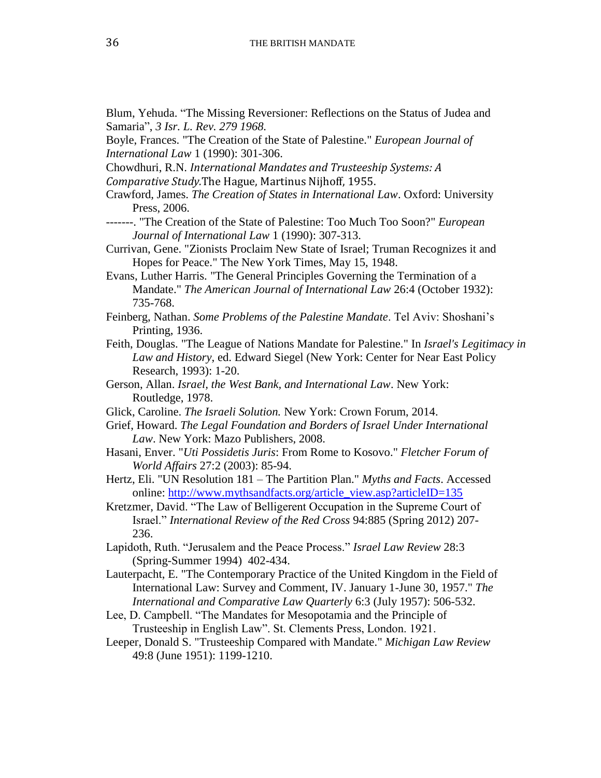Blum, Yehuda. "The Missing Reversioner: Reflections on the Status of Judea and Samaria", *3 Isr. L. Rev. 279 1968.*

Boyle, Frances. "The Creation of the State of Palestine." *European Journal of International Law* 1 (1990): 301-306.

Chowdhuri, R.N. *International Mandates and Trusteeship Systems: A* 

*Comparative Study.*The Hague, Martinus Nijhoff, 1955.

Crawford, James. *The Creation of States in International Law*. Oxford: University Press, 2006.

-------. "The Creation of the State of Palestine: Too Much Too Soon?" *European Journal of International Law* 1 (1990): 307-313.

Currivan, Gene. "Zionists Proclaim New State of Israel; Truman Recognizes it and Hopes for Peace." The New York Times, May 15, 1948.

Evans, Luther Harris. "The General Principles Governing the Termination of a Mandate." *The American Journal of International Law* 26:4 (October 1932): 735-768.

- Feinberg, Nathan. *Some Problems of the Palestine Mandate*. Tel Aviv: Shoshani's Printing, 1936.
- Feith, Douglas. "The League of Nations Mandate for Palestine." In *Israel's Legitimacy in Law and History*, ed. Edward Siegel (New York: Center for Near East Policy Research, 1993): 1-20.
- Gerson, Allan. *Israel, the West Bank, and International Law*. New York: Routledge, 1978.
- Glick, Caroline. *The Israeli Solution.* New York: Crown Forum, 2014.

Grief, Howard. *The Legal Foundation and Borders of Israel Under International Law*. New York: Mazo Publishers, 2008.

Hasani, Enver. "*Uti Possidetis Juris*: From Rome to Kosovo." *Fletcher Forum of World Affairs* 27:2 (2003): 85-94.

Hertz, Eli. "UN Resolution 181 – The Partition Plan." *Myths and Facts*. Accessed online: [http://www.mythsandfacts.org/article\\_view.asp?articleID=135](http://www.mythsandfacts.org/article_view.asp?articleID=135)

Kretzmer, David. "The Law of Belligerent Occupation in the Supreme Court of Israel." *International Review of the Red Cross* 94:885 (Spring 2012) 207- 236.

Lapidoth, Ruth. "Jerusalem and the Peace Process." *Israel Law Review* 28:3 (Spring-Summer 1994) 402-434.

Lauterpacht, E. "The Contemporary Practice of the United Kingdom in the Field of International Law: Survey and Comment, IV. January 1-June 30, 1957." *The International and Comparative Law Quarterly* 6:3 (July 1957): 506-532.

Lee, D. Campbell. "The Mandates for Mesopotamia and the Principle of Trusteeship in English Law". St. Clements Press, London. 1921.

Leeper, Donald S. "Trusteeship Compared with Mandate." *Michigan Law Review* 49:8 (June 1951): 1199-1210.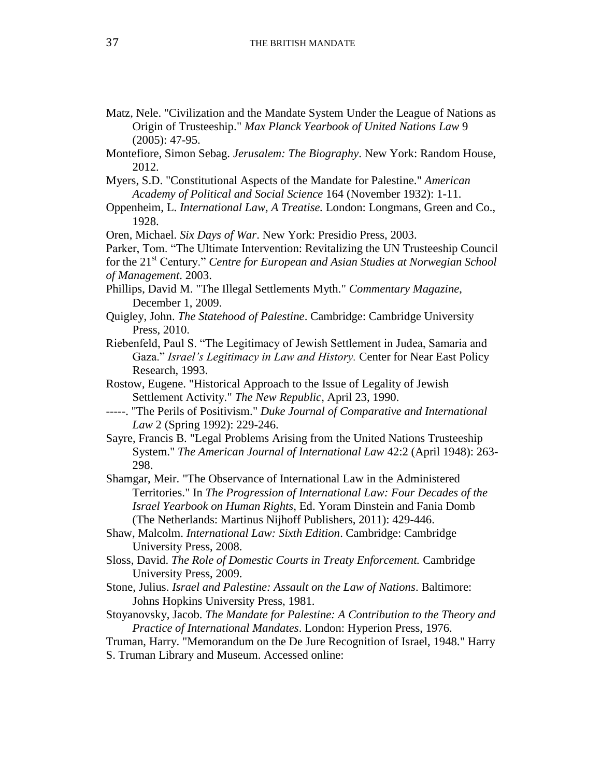- Matz, Nele. "Civilization and the Mandate System Under the League of Nations as Origin of Trusteeship." *Max Planck Yearbook of United Nations Law* 9 (2005): 47-95.
- Montefiore, Simon Sebag. *Jerusalem: The Biography*. New York: Random House, 2012.
- Myers, S.D. "Constitutional Aspects of the Mandate for Palestine." *American Academy of Political and Social Science* 164 (November 1932): 1-11.

Oppenheim, L. *International Law, A Treatise.* London: Longmans, Green and Co., 1928.

- Oren, Michael. *Six Days of War*. New York: Presidio Press, 2003.
- Parker, Tom. "The Ultimate Intervention: Revitalizing the UN Trusteeship Council for the 21st Century." *Centre for European and Asian Studies at Norwegian School*

- Phillips, David M. "The Illegal Settlements Myth." *Commentary Magazine*, December 1, 2009.
- Quigley, John. *The Statehood of Palestine*. Cambridge: Cambridge University Press, 2010.
- Riebenfeld, Paul S. "The Legitimacy of Jewish Settlement in Judea, Samaria and Gaza." *Israel's Legitimacy in Law and History.* Center for Near East Policy Research, 1993.
- Rostow, Eugene. "Historical Approach to the Issue of Legality of Jewish Settlement Activity." *The New Republic*, April 23, 1990.
- -----. "The Perils of Positivism." *Duke Journal of Comparative and International Law* 2 (Spring 1992): 229-246.
- Sayre, Francis B. "Legal Problems Arising from the United Nations Trusteeship System." *The American Journal of International Law* 42:2 (April 1948): 263- 298.
- Shamgar, Meir. "The Observance of International Law in the Administered Territories." In *The Progression of International Law: Four Decades of the Israel Yearbook on Human Rights*, Ed. Yoram Dinstein and Fania Domb (The Netherlands: Martinus Nijhoff Publishers, 2011): 429-446.
- Shaw, Malcolm. *International Law: Sixth Edition*. Cambridge: Cambridge University Press, 2008.
- Sloss, David. *The Role of Domestic Courts in Treaty Enforcement.* Cambridge University Press, 2009.
- Stone, Julius. *Israel and Palestine: Assault on the Law of Nations*. Baltimore: Johns Hopkins University Press, 1981.
- Stoyanovsky, Jacob. *The Mandate for Palestine: A Contribution to the Theory and Practice of International Mandates*. London: Hyperion Press, 1976.
- Truman, Harry. "Memorandum on the De Jure Recognition of Israel, 1948." Harry S. Truman Library and Museum. Accessed online:

*of Management*. 2003.